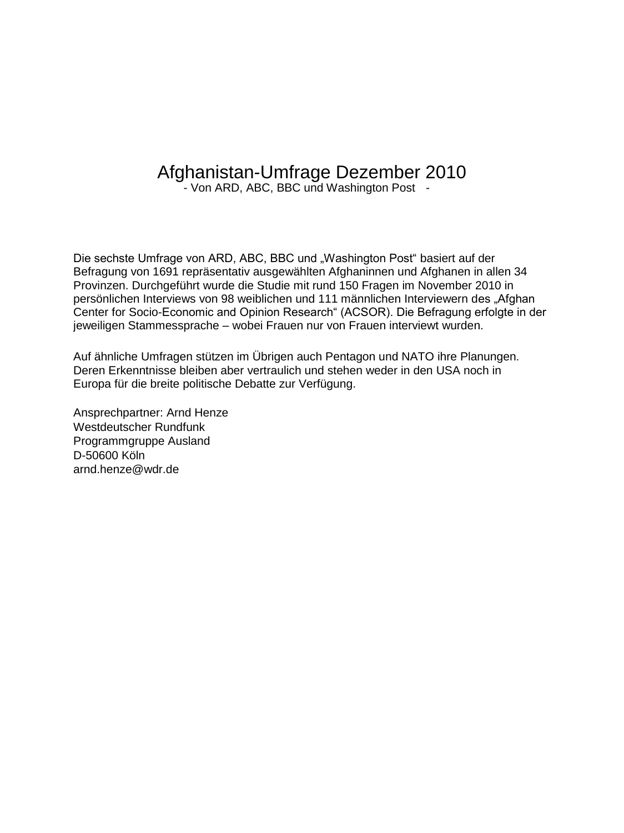# Afghanistan-Umfrage Dezember 2010

- Von ARD, ABC, BBC und Washington Post -

Die sechste Umfrage von ARD, ABC, BBC und "Washington Post" basiert auf der Befragung von 1691 repräsentativ ausgewählten Afghaninnen und Afghanen in allen 34 Provinzen. Durchgeführt wurde die Studie mit rund 150 Fragen im November 2010 in persönlichen Interviews von 98 weiblichen und 111 männlichen Interviewern des "Afghan Center for Socio-Economic and Opinion Research" (ACSOR). Die Befragung erfolgte in der jeweiligen Stammessprache – wobei Frauen nur von Frauen interviewt wurden.

Auf ähnliche Umfragen stützen im Übrigen auch Pentagon und NATO ihre Planungen. Deren Erkenntnisse bleiben aber vertraulich und stehen weder in den USA noch in Europa für die breite politische Debatte zur Verfügung.

Ansprechpartner: Arnd Henze Westdeutscher Rundfunk Programmgruppe Ausland D-50600 Köln arnd.henze@wdr.de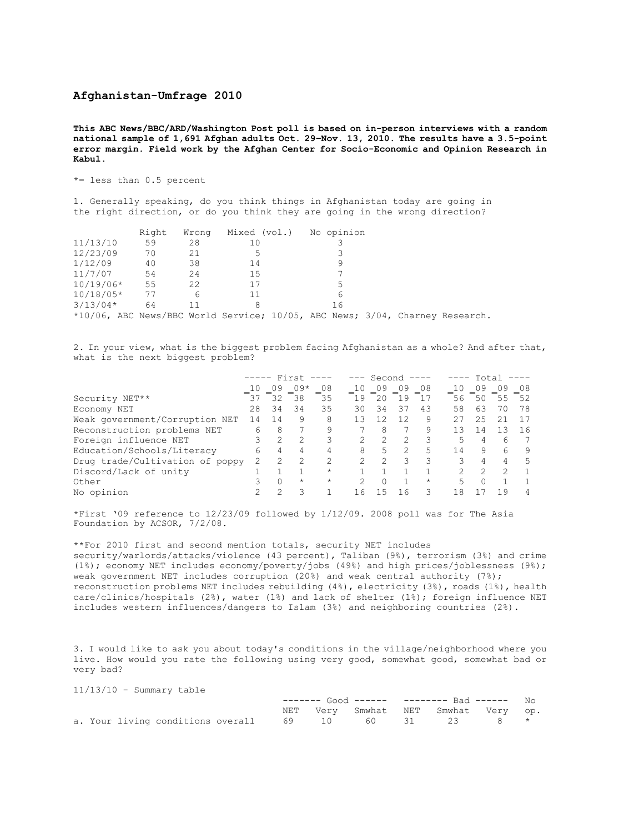### **Afghanistan-Umfrage 2010**

**This ABC News/BBC/ARD/Washington Post poll is based on in-person interviews with a random national sample of 1,691 Afghan adults Oct. 29–Nov. 13, 2010. The results have a 3.5-point error margin. Field work by the Afghan Center for Socio-Economic and Opinion Research in Kabul.** 

\*= less than 0.5 percent

1. Generally speaking, do you think things in Afghanistan today are going in the right direction, or do you think they are going in the wrong direction?

|                                                                              | Right | Wrong | Mixed (vol.) No opinion |    |  |  |
|------------------------------------------------------------------------------|-------|-------|-------------------------|----|--|--|
| 11/13/10                                                                     | 59    | 28    | 10                      |    |  |  |
| 12/23/09                                                                     | 70    | 21    | 5                       |    |  |  |
| 1/12/09                                                                      | 40    | 38    | 14                      |    |  |  |
| 11/7/07                                                                      | 54    | 24    | 15                      |    |  |  |
| $10/19/06*$                                                                  | 55    | 22    | 17                      | 5  |  |  |
| $10/18/05*$                                                                  | 77    | 6     | 11                      |    |  |  |
| $3/13/04*$                                                                   | 64    | 11    | 8                       | 16 |  |  |
| *10/06, ABC News/BBC World Service; 10/05, ABC News; 3/04, Charney Research. |       |       |                         |    |  |  |

2. In your view, what is the biggest problem facing Afghanistan as a whole? And after that, what is the next biggest problem?

|                                 | First |    |         | Second   |     |               |    | Total   |    |               |     |    |
|---------------------------------|-------|----|---------|----------|-----|---------------|----|---------|----|---------------|-----|----|
|                                 |       | 09 | $09*$   | 08       | 10  | 09            | 09 | 08      | 10 | 09            | 09  | 08 |
| Security NET**                  | 37    | 32 | 38      | 35       | 19  | 20            | 19 |         | 56 | 50            | 55  | 52 |
| Economy NET                     | 28    | 34 | 34      | 35       | 30  | 34            | 37 | 43      | 58 | 63            | 70  | 78 |
| Weak government/Corruption NET  | 14    |    | 9       | 8        | 13  | 12            | 12 | 9       | 27 | 25            |     |    |
| Reconstruction problems NET     | 6     | 8  |         | 9        |     | 8             |    | 9       | 13 | 14            | 1 ว | 16 |
| Foreign influence NET           |       |    |         |          |     |               |    |         | 5. | 4             | 6   |    |
| Education/Schools/Literacy      | 6     | 4  | 4       | 4        | 8   | 5             |    | 5       | 14 | 9             | 6   |    |
| Drug trade/Cultivation of poppy |       |    |         | 2        |     | $\mathcal{L}$ | 3  | २       | 3  | 4             | 4   | 5  |
| Discord/Lack of unity           |       |    |         | $\star$  |     |               |    |         |    | $\mathcal{L}$ |     |    |
| Other                           |       |    | $\star$ | $^\star$ |     |               |    | $\star$ | 5  | $\cap$        |     |    |
| No opinion                      |       |    |         |          | - 6 |               | 16 |         | 18 |               | 1 G |    |

\*First '09 reference to 12/23/09 followed by 1/12/09. 2008 poll was for The Asia Foundation by ACSOR, 7/2/08.

\*\*For 2010 first and second mention totals, security NET includes security/warlords/attacks/violence (43 percent), Taliban (9%), terrorism (3%) and crime (1%); economy NET includes economy/poverty/jobs (49%) and high prices/joblessness (9%); weak government NET includes corruption (20%) and weak central authority (7%); reconstruction problems NET includes rebuilding (4%), electricity (3%), roads (1%), health care/clinics/hospitals (2%), water (1%) and lack of shelter (1%); foreign influence NET includes western influences/dangers to Islam (3%) and neighboring countries (2%).

3. I would like to ask you about today's conditions in the village/neighborhood where you live. How would you rate the following using very good, somewhat good, somewhat bad or very bad?

| $11/13/10$ - Summary table |  |  |  |  |
|----------------------------|--|--|--|--|
|----------------------------|--|--|--|--|

|  |  |                                                            |  | ------- Good ------ -------- Bad ------ No |  |  |
|--|--|------------------------------------------------------------|--|--------------------------------------------|--|--|
|  |  |                                                            |  | NET Very Smwhat NET Smwhat Very op.        |  |  |
|  |  | a. Your living conditions overall 69 10 60 31 23 8 $\star$ |  |                                            |  |  |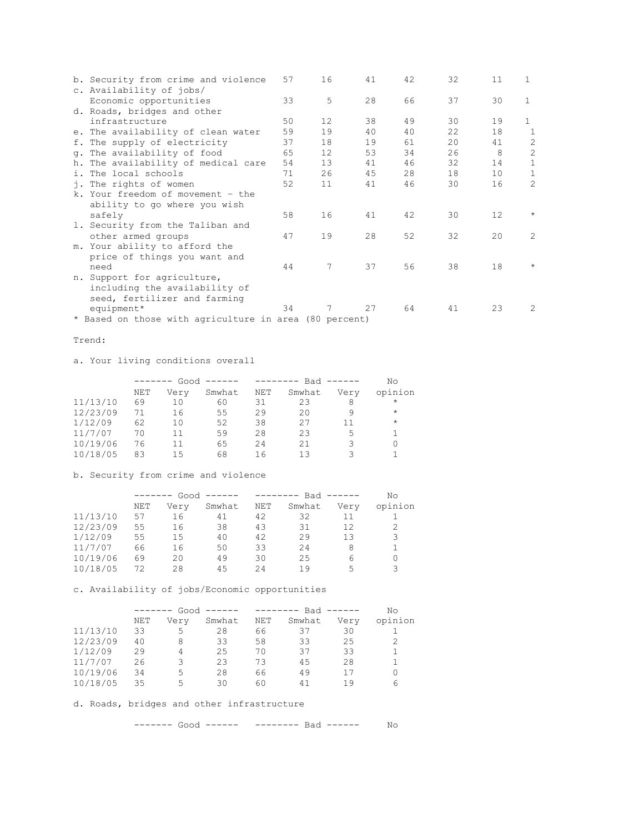| b. Security from crime and violence                    | 57 | 16 | 41 | 42 | 32 | 11 | 1              |
|--------------------------------------------------------|----|----|----|----|----|----|----------------|
| c. Availability of jobs/                               |    |    |    |    |    |    |                |
| Economic opportunities                                 | 33 | 5  | 28 | 66 | 37 | 30 | $\mathbf{1}$   |
| d. Roads, bridges and other                            |    |    |    |    |    |    |                |
| infrastructure                                         | 50 | 12 | 38 | 49 | 30 | 19 | $\mathbf{1}$   |
| e. The availability of clean water                     | 59 | 19 | 40 | 40 | 22 | 18 | 1              |
| f. The supply of electricity                           | 37 | 18 | 19 | 61 | 20 | 41 | 2              |
| q. The availability of food                            | 65 | 12 | 53 | 34 | 26 | 8  | $\overline{c}$ |
| h. The availability of medical care                    | 54 | 13 | 41 | 46 | 32 | 14 | $\mathbf{1}$   |
| i. The local schools                                   | 71 | 26 | 45 | 28 | 18 | 10 | 1              |
| j. The rights of women                                 | 52 | 11 | 41 | 46 | 30 | 16 | $\overline{2}$ |
| k. Your freedom of movement - the                      |    |    |    |    |    |    |                |
| ability to go where you wish                           |    |    |    |    |    |    |                |
| safely                                                 | 58 | 16 | 41 | 42 | 30 | 12 | $\star$        |
| 1. Security from the Taliban and                       |    |    |    |    |    |    |                |
| other armed groups                                     | 47 | 19 | 28 | 52 | 32 | 20 | $\mathfrak{D}$ |
| m. Your ability to afford the                          |    |    |    |    |    |    |                |
| price of things you want and                           |    |    |    |    |    |    |                |
| need                                                   | 44 | 7  | 37 | 56 | 38 | 18 | $\star$        |
| n. Support for agriculture,                            |    |    |    |    |    |    |                |
| including the availability of                          |    |    |    |    |    |    |                |
| seed, fertilizer and farming                           |    |    |    |    |    |    |                |
| equipment*                                             | 34 |    | 27 | 64 | 41 | 23 | 2              |
| * Based on those with agriculture in area (80 percent) |    |    |    |    |    |    |                |

### Trend:

a. Your living conditions overall

|          | -------- |      | Good $---$ |     | --------- Bad ------ |      | Νo      |  |
|----------|----------|------|------------|-----|----------------------|------|---------|--|
|          | NET      | Very | Smwhat     | NET | Smwhat               | Very | opinion |  |
| 11/13/10 | 69       | 10   | 60         | 31  | 23                   | 8    | $\star$ |  |
| 12/23/09 | 71       | 16   | 55         | 29  | 20                   | 9    | $\star$ |  |
| 1/12/09  | 62       | 10   | 52         | 38  | 27                   | 11   | $\star$ |  |
| 11/7/07  | 70       | 11   | 59         | 28  | 23                   | 5    |         |  |
| 10/19/06 | 76       | 11   | 65         | 24  | 21                   | 3    |         |  |
| 10/18/05 | 83       | 15   | 68         | 16  | 13                   |      |         |  |

b. Security from crime and violence

|          |     | $Good$ ------<br>$- - - - - - -$ |        |     | $------$ Bad $---$ |      | No      |  |
|----------|-----|----------------------------------|--------|-----|--------------------|------|---------|--|
|          | NET | Very                             | Smwhat | NET | Smwhat             | Very | opinion |  |
| 11/13/10 | 57  | 16                               | 41     | 42  | 32                 | 11   |         |  |
| 12/23/09 | 55  | 16                               | 38     | 43  | 31                 | 12   | 2       |  |
| 1/12/09  | 55  | 15                               | 40     | 42  | 29                 | 13   | 3       |  |
| 11/7/07  | 66  | 16                               | 50     | 33  | 24                 | 8    |         |  |
| 10/19/06 | 69  | 20                               | 49     | 30  | 25                 | 6    | 0       |  |
| 10/18/05 | 72  | 28                               | 45     | 24  | 19                 | 5    | 3       |  |

c. Availability of jobs/Economic opportunities

|          |     | Good $---$<br>-------- |        |     | --------- Bad ------ |      | No      |  |
|----------|-----|------------------------|--------|-----|----------------------|------|---------|--|
|          | NET | Very                   | Smwhat | NET | Smwhat               | Very | opinion |  |
| 11/13/10 | 33  | 5                      | 28     | 66  | 37                   | 30   |         |  |
| 12/23/09 | 40  | 8                      | 33     | 58  | 33                   | 25   |         |  |
| 1/12/09  | 29  | 4                      | 25     | 70  | 37                   | 33   |         |  |
| 11/7/07  | 26  | २                      | 23     | 73  | 45                   | 28   |         |  |
| 10/19/06 | 34  | 5                      | 28     | 66  | 49                   | 17   | 0       |  |
| 10/18/05 | 35  | 5                      | 30     | 60  | 41                   | 1 9  | 6       |  |

d. Roads, bridges and other infrastructure

------- Good ------ -------- Bad ------ No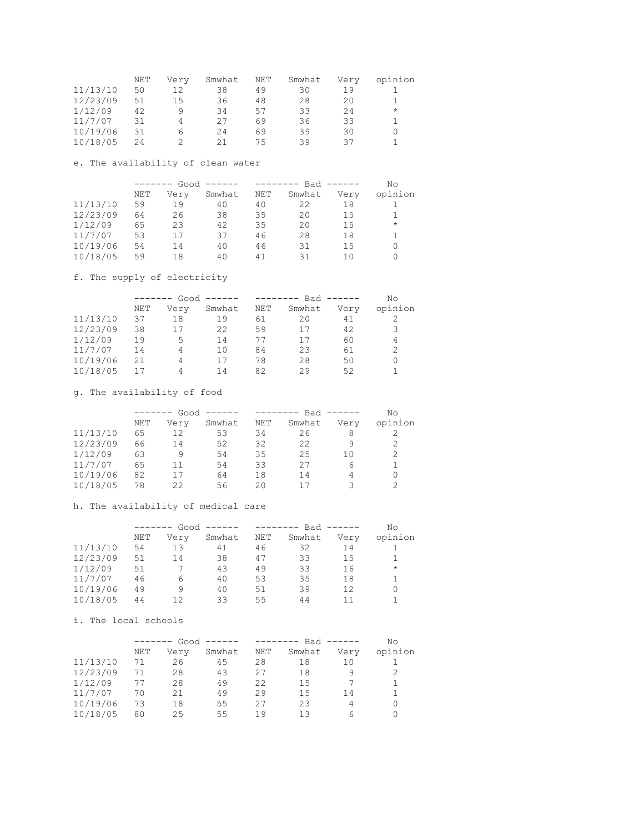|          | NET | Verv | Smwhat | NET | Smwhat | Very | opinion |
|----------|-----|------|--------|-----|--------|------|---------|
| 11/13/10 | 50  | 12   | 38     | 49  | 30     | 19   |         |
| 12/23/09 | 51  | 1.5  | 36     | 48  | 28     | 20   |         |
| 1/12/09  | 42  | q    | 34     | 57  | 33     | 24   | $\star$ |
| 11/7/07  | 31  | 4    | 27     | 69  | 36     | 33   |         |
| 10/19/06 | 31  | 6    | 24     | 69  | 39     | 30   |         |
| 10/18/05 | 24  |      | 21     | 75  | 39     | スフ   |         |

### e. The availability of clean water

|          | -------- |      | $Good$ ------ | -------- |        | $Bad$ ------ | No       |
|----------|----------|------|---------------|----------|--------|--------------|----------|
|          | NET      | Very | Smwhat        | NET      | Smwhat | Very         | opinion  |
| 11/13/10 | 59       | 19   | 40            | 40       | 22     | 18           |          |
| 12/23/09 | 64       | 26   | 38            | 35       | 20     | 1.5          |          |
| 1/12/09  | 65       | 23   | 42            | 35       | 20     | 15           | $\star$  |
| 11/7/07  | 53       | 17   | 37            | 46       | 28     | 18           |          |
| 10/19/06 | 54       | 14   | 40            | 46       | 31     | 15           | 0        |
| 10/18/05 | 59       | 18   | 40            | 41       | 31     | 1 ೧          | $\Omega$ |

### f. The supply of electricity

|          | -------- |      | $Good$ ------ |     | $------$ Bad $---$ |      | No             |  |
|----------|----------|------|---------------|-----|--------------------|------|----------------|--|
|          | NET      | Verv | Smwhat        | NET | Smwhat             | Very | opinion        |  |
| 11/13/10 | 37       | 18   | 19            | 61  | 20                 | 41   |                |  |
| 12/23/09 | 38       | 17   | 22            | 59  | 17                 | 42   | 3              |  |
| 1/12/09  | 19       | 5    | 14            | 77  | 17                 | 60   | 4              |  |
| 11/7/07  | 14       | 4    | 10            | 84  | 23                 | 61   | $\mathfrak{D}$ |  |
| 10/19/06 | 21       | 4    | 17            | 78  | 28                 | 50   | 0              |  |
| 10/18/05 | 17       | 4    | 14            | 82  | 29                 | 52   |                |  |

# g. The availability of food

|          |     | $Good$ ------<br>-------- |        |     | $------$ Bad $---$ |      | Nο             |  |
|----------|-----|---------------------------|--------|-----|--------------------|------|----------------|--|
|          | NET | Verv                      | Smwhat | NET | Smwhat             | Very | opinion        |  |
| 11/13/10 | 65  | 12                        | 53     | 34  | 26                 | 8    |                |  |
| 12/23/09 | 66  | 14                        | 52     | 32  | 22                 | 9    | 2              |  |
| 1/12/09  | 63  |                           | 54     | 35  | 25                 | 10   | $\overline{2}$ |  |
| 11/7/07  | 65  | 11                        | 54     | 33  | 27                 | 6    |                |  |
| 10/19/06 | 82  | 17                        | 64     | 18  | 14                 | 4    | 0              |  |
| 10/18/05 | 78  | フフ                        | 56     | 20  | 17                 |      | っ              |  |

# h. The availability of medical care

|          |     | Good $---$<br>$-- - - - - -$ |        |     | $------$ Bad $---$ |      | Νo       |
|----------|-----|------------------------------|--------|-----|--------------------|------|----------|
|          | NET | Very                         | Smwhat | NET | Smwhat             | Very | opinion  |
| 11/13/10 | 54  | 13                           | 41     | 46  | 32                 | 14   |          |
| 12/23/09 | 51  | 14                           | 38     | 47  | 33                 | 15   |          |
| 1/12/09  | 51  |                              | 43     | 49  | 33                 | 16   | $\star$  |
| 11/7/07  | 46  | 6                            | 40     | 53  | 35                 | 18   |          |
| 10/19/06 | 49  | 9                            | 40     | 51  | 39                 | 12   | $\Omega$ |
| 10/18/05 | 44  | 1 2                          | 33     | 55  | 44                 | 11   |          |

# i. The local schools

|          |     | Good $---$<br>-------- |        |     | -------- Bad ------ |      | Νo      |
|----------|-----|------------------------|--------|-----|---------------------|------|---------|
|          | NET | Very                   | Smwhat | NET | Smwhat              | Very | opinion |
| 11/13/10 | 71  | 26                     | 45     | 28  | 18                  | 10   |         |
| 12/23/09 | 71  | 28                     | 43     | 27  | 18                  | q    | 2       |
| 1/12/09  | 77  | 28                     | 49     | 22  | 15                  |      |         |
| 11/7/07  | 70  | 21                     | 49     | 29  | 15                  | 14   |         |
| 10/19/06 | 73  | 18                     | 55     | 27  | 23                  | 4    | 0       |
| 10/18/05 | 80  | 25                     | 55     | 19  | 13                  | 6    |         |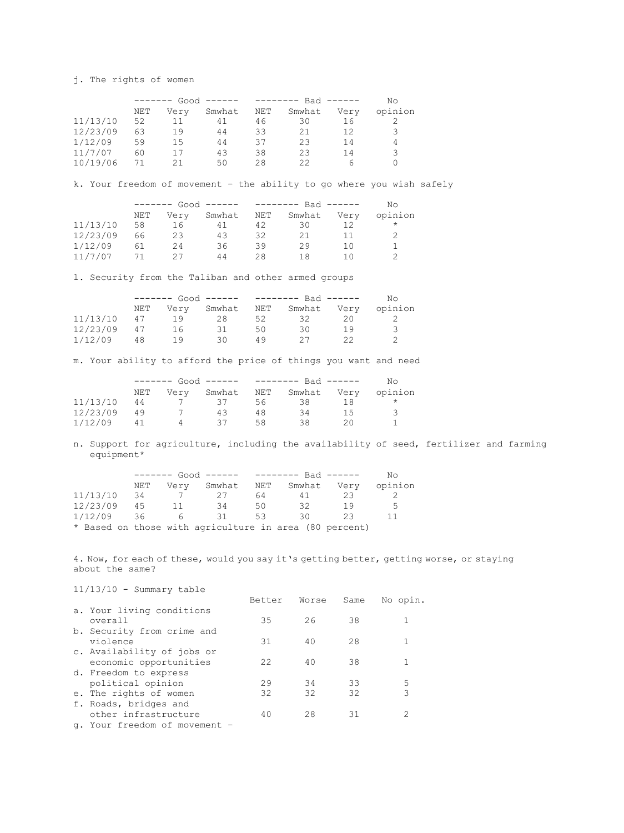j. The rights of women

|          |     | $Good$ ------<br>-------- |        |     | $------$ Bad $---$ |      |         |  |
|----------|-----|---------------------------|--------|-----|--------------------|------|---------|--|
|          | NET | Very                      | Smwhat | NET | Smwhat             | Very | opinion |  |
| 11/13/10 | 52  | 11                        | 41     | 46  | 30                 | 16   |         |  |
| 12/23/09 | 63  | 19                        | 44     | 33  | 21                 | 12   | 3       |  |
| 1/12/09  | 59  | 15                        | 44     | 37  | 23                 | 14   | 4       |  |
| 11/7/07  | 60  | 17                        | 43     | 38  | 23                 | 14   | 3       |  |
| 10/19/06 | 71  | つ1                        | 50     | 28  | フフ                 | h    |         |  |

k. Your freedom of movement – the ability to go where you wish safely

|          |     | ------ Good ------ -------- Bad ------ |            |    |        |      | Nο      |
|----------|-----|----------------------------------------|------------|----|--------|------|---------|
|          | NET | Very                                   | Smwhat NET |    | Smwhat | Very | opinion |
| 11/13/10 | 58  | 16                                     | 41         | 42 | 30     |      | $\star$ |
| 12/23/09 | 66  | 23                                     | 43         | 32 | 21     | 11   |         |
| 1/12/09  | 61  | 24                                     | 36         | 39 | 29     | 10   |         |
| 11/7/07  | 71  | クワ                                     | 44         | 28 | 1 R    |      |         |

l. Security from the Taliban and other armed groups

|          |     | ------ Good ------ -------- Bad ------ |             |     |             |     | Nο      |
|----------|-----|----------------------------------------|-------------|-----|-------------|-----|---------|
|          | NET |                                        | Very Smwhat | NET | Smwhat Very |     | opinion |
| 11/13/10 | 47  | 1 Q                                    | 28          | 52. | - 32        | 20. |         |
| 12/23/09 | 47  | 16                                     | 31          | 50. | 30          | 1 Q | -3      |
| 1/12/09  | 48  | 1 Q                                    | 30          | 49  |             |     |         |

m. Your ability to afford the price of things you want and need

|          | ------ Good ------ -------- Bad ------ |  |     |     |                             |     | No.     |
|----------|----------------------------------------|--|-----|-----|-----------------------------|-----|---------|
|          | NET                                    |  |     |     | Very Smwhat NET Smwhat Very |     | opinion |
| 11/13/10 | 44                                     |  | 37  | 56. | 38                          | 18  |         |
| 12/23/09 | 49                                     |  | 43  | 48  | 34                          | 1.5 | - 3     |
| 1/12/09  | 41                                     |  | -37 | 58  | 38                          | 211 |         |

n. Support for agriculture, including the availability of seed, fertilizer and farming equipment\*

|               | ------ Good ------ -------- Bad ------ |                |                                                        |     | NΩ  |    |         |
|---------------|----------------------------------------|----------------|--------------------------------------------------------|-----|-----|----|---------|
|               | NET                                    |                | Very Smwhat NET Smwhat Very                            |     |     |    | opinion |
| $11/13/10$ 34 |                                        |                | 27                                                     | 64  | 41  | 23 |         |
| 12/23/09 45   |                                        | 11             | -34                                                    | 50. | 32  | 19 | .5      |
| $1/12/09$ 36  |                                        | 6 <sup>6</sup> | 31                                                     | 53  | -30 | 23 |         |
|               |                                        |                | * Based on those with agriculture in area (80 percent) |     |     |    |         |

4. Now, for each of these, would you say it's getting better, getting worse, or staying about the same?

11/13/10 - Summary table

|                               | Better | Worse | Same | No opin. |
|-------------------------------|--------|-------|------|----------|
| a. Your living conditions     |        |       |      |          |
| overall                       | 35     | 26    | 38   |          |
| b. Security from crime and    |        |       |      |          |
| violence                      | 31     | 40    | 28   |          |
| c. Availability of jobs or    |        |       |      |          |
| economic opportunities        | 22     | 40    | 38   |          |
| d. Freedom to express         |        |       |      |          |
| political opinion             | 29     | 34    | 33   | 5        |
| e. The rights of women        | 32     | 32    | 32   | 3        |
| f. Roads, bridges and         |        |       |      |          |
| other infrastructure          | 40     | 28    | 31   | 2        |
| q. Your freedom of movement - |        |       |      |          |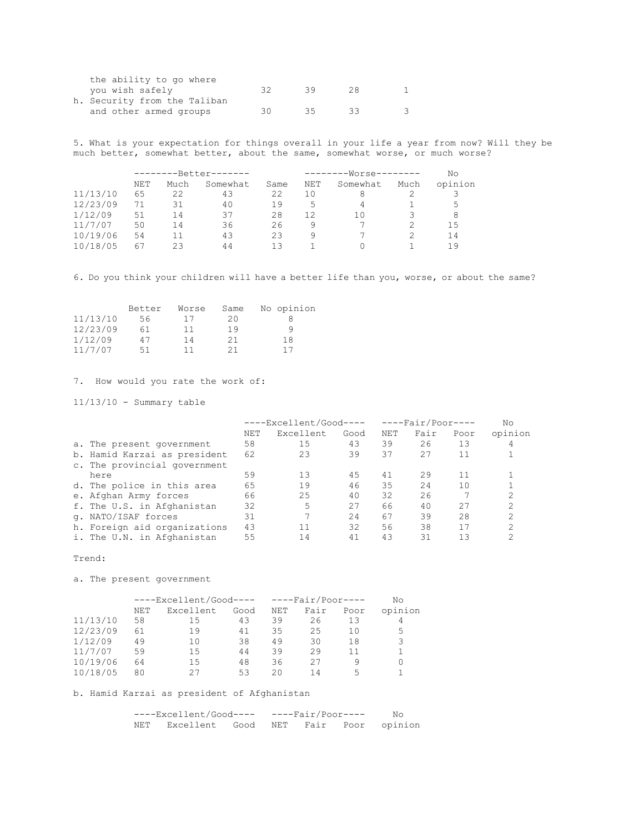| the ability to go where      |     |    |        |  |
|------------------------------|-----|----|--------|--|
| you wish safely              | 32. | 39 | - 28 - |  |
| h. Security from the Taliban |     |    |        |  |
| and other armed groups       | 30. | 35 | - 33   |  |
|                              |     |    |        |  |

5. What is your expectation for things overall in your life a year from now? Will they be much better, somewhat better, about the same, somewhat worse, or much worse?

|          | ------- |      | -Better------- |      |     | --------Worse-------- |      | No      |  |
|----------|---------|------|----------------|------|-----|-----------------------|------|---------|--|
|          | NET     | Much | Somewhat       | Same | NET | Somewhat              | Much | opinion |  |
| 11/13/10 | 65      | 22   | 43             | 22   | 10  |                       |      |         |  |
| 12/23/09 | 71      | 31   | 40             | 19   | 5.  | 4                     |      | 5       |  |
| 1/12/09  | 51      | 14   | 37             | 28   | 12  | 10                    |      | 8       |  |
| 11/7/07  | 50      | 14   | 36             | 26   | 9   |                       |      | 15      |  |
| 10/19/06 | 54      |      | 43             | 23   | 9   |                       |      | 14      |  |
| 10/18/05 | 67      | ク3   | 44             | 13   |     |                       |      | 19      |  |

6. Do you think your children will have a better life than you, worse, or about the same?

|          | Better | Worse | Same | No opinion |
|----------|--------|-------|------|------------|
| 11/13/10 | 56.    | 17    | 20   |            |
| 12/23/09 | 61     | 11    | 19   | q          |
| 1/12/09  | 47     | 14    | 21   | 18         |
| 11/7/07  | 51     |       | 21   | 17         |

7. How would you rate the work of:

11/13/10 - Summary table

|                              | ----Excellent/Good---- |           | $---Fair/Poor---$ |     |      | No   |         |
|------------------------------|------------------------|-----------|-------------------|-----|------|------|---------|
|                              | NET                    | Excellent | Good              | NET | Fair | Poor | opinion |
| a. The present government    | 58                     | 15        | 43                | 39  | 26   | 13   |         |
| b. Hamid Karzai as president | 62                     | 23        | 39                | 37  | 27   |      |         |
| c. The provincial government |                        |           |                   |     |      |      |         |
| here                         | 59                     | 13        | 45                | 41  | 29   |      |         |
| d. The police in this area   | 65                     | 19        | 46                | 35  | 24   | 10   |         |
| e. Afghan Army forces        | 66                     | 25        | 40                | 32  | 26   |      |         |
| f. The U.S. in Afghanistan   | 32                     | 5         | 27                | 66  | 40   | 27   |         |
| q. NATO/ISAF forces          | 31                     |           | 24                | 67  | 39   | 28   | 2       |
| h. Foreign aid organizations | 43                     | 11        | 32                | 56  | 38   | 17   |         |
| i. The U.N. in Afghanistan   | 55                     | 14        | 41                | 43  | 31   | 13   |         |

Trend:

a. The present government

|          |     | $---ExceptionCood--- - --FairPoor---$ |      |     |      | Nο   |         |
|----------|-----|---------------------------------------|------|-----|------|------|---------|
|          | NET | Excellent                             | Good | NET | Fair | Poor | opinion |
| 11/13/10 | 58  | 15                                    | 43   | 39  | 26   | 13   | 4       |
| 12/23/09 | 61  | 19                                    | 41   | 35  | 25   | 10   | 5       |
| 1/12/09  | 49  | 10                                    | 38   | 49  | 30   | 18   | 3       |
| 11/7/07  | 59  | 15                                    | 44   | 39  | 29   | 11   |         |
| 10/19/06 | 64  | 15                                    | 48   | 36  | 27   | q    | 0       |
| 10/18/05 | 80  | クワ                                    | 53   | 20  | 14   | 5    |         |

b. Hamid Karzai as president of Afghanistan

| ----Excellent/Good---- ----Fair/Poor---- |                                          |  |  |  |  | No |
|------------------------------------------|------------------------------------------|--|--|--|--|----|
|                                          | NET Excellent Good NET Fair Poor opinion |  |  |  |  |    |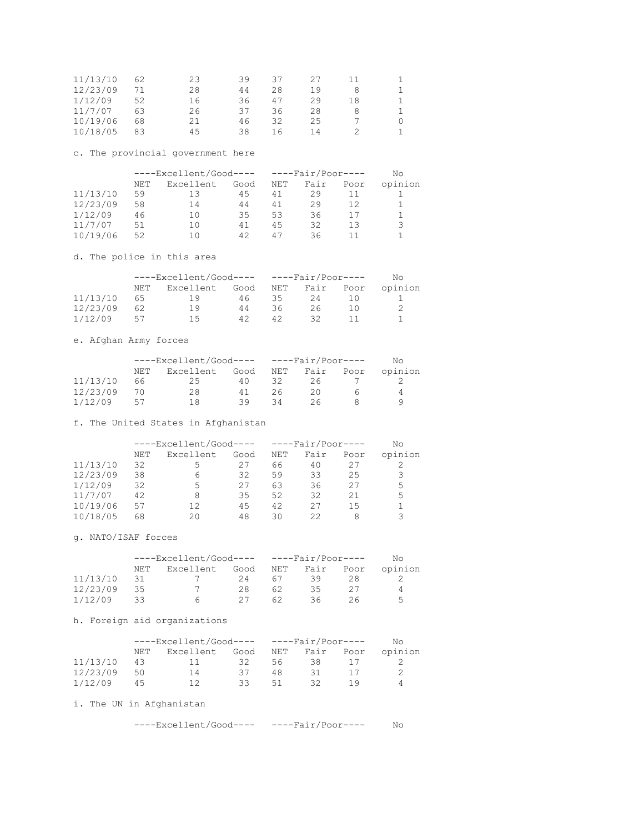| 11/13/10 | 62 | 23 | 39  | 37 | 27 |    |  |
|----------|----|----|-----|----|----|----|--|
| 12/23/09 |    | 28 | 44  | 28 | 19 | 8  |  |
| 1/12/09  | 52 | 16 | 36. | 47 | 29 | 18 |  |
| 11/7/07  | 63 | 26 | 37  | 36 | 28 | 8  |  |
| 10/19/06 | 68 | 21 | 46  | 32 | 25 |    |  |
| 10/18/05 | 83 | 45 | 38  | 16 | 14 |    |  |

# c. The provincial government here

|          | $---ExceptionCood--- - --FairPoor---$ |           |      |     |      |      | Nο      |
|----------|---------------------------------------|-----------|------|-----|------|------|---------|
|          | NET                                   | Excellent | Good | NET | Fair | Poor | opinion |
| 11/13/10 | 59                                    | 13        | 45   | 41  | 29   |      |         |
| 12/23/09 | 58                                    | 14        | 44   | 41  | 29   | 12   |         |
| 1/12/09  | 46                                    | 10        | 35   | 53  | 36   |      |         |
| 11/7/07  | 51                                    | 10        | 41   | 4.5 | 32   | 13   | २       |
| 10/19/06 | 52                                    | 10        | 42   | 47  | 36   |      |         |

d. The police in this area

|          |     | $---ExceptionCood--- - --FairPoor---$ |      |     |    | No.       |         |
|----------|-----|---------------------------------------|------|-----|----|-----------|---------|
|          | NET | Excellent                             | Good | NET |    | Fair Poor | opinion |
| 11/13/10 | 65  | -19                                   | 46   | 35. | 24 |           |         |
| 12/23/09 | 62  | 19                                    | 44   | 36  | 26 |           |         |
| 1/12/09  | 57  | 1.5                                   | 42   | 42  |    |           |         |

# e. Afghan Army forces

|          |     | $---EXECellent/Good--- - --Fair/Poor---$ |      |     |      | No.  |         |
|----------|-----|------------------------------------------|------|-----|------|------|---------|
|          | NET | Excellent                                | Good | NET | Fair | Poor | opinion |
| 11/13/10 | 66  | 25                                       | 40   | 32. | 26   |      |         |
| 12/23/09 |     | 28                                       | 41   | 26. | 20.  |      |         |
| 1/12/09  | 57  | 18                                       | 39   | 34  | ント   |      |         |

f. The United States in Afghanistan

|          |     | $---ExceptionCood--- - --FairPoor---$ |      |            |      |      | Nο      |
|----------|-----|---------------------------------------|------|------------|------|------|---------|
|          | NET | Excellent                             | Good | <b>NET</b> | Fair | Poor | opinion |
| 11/13/10 | 32  | 5                                     | 27   | 66         | 40   | 27   |         |
| 12/23/09 | 38  | 6                                     | 32   | 59         | 33   | 25   | 3       |
| 1/12/09  | 32  | 5                                     | 27   | 63         | 36   | 27   | 5       |
| 11/7/07  | 42  | 8                                     | 35   | 52         | 32   | 21   | 5       |
| 10/19/06 | 57  | 12                                    | 45   | 42         | 27   | 15   |         |
| 10/18/05 | 68  | 20                                    | 48   | RΩ         | 22   |      | ς       |

g. NATO/ISAF forces

|          | $---Exception/(Good--- ----Fair/Poor---$ |           |      |     |     | N∩        |         |
|----------|------------------------------------------|-----------|------|-----|-----|-----------|---------|
|          | NET                                      | Excellent | Good | NET |     | Fair Poor | opinion |
| 11/13/10 | 31                                       |           | 24   | 67  | 39  | 28        |         |
| 12/23/09 | -35                                      |           | 28.  | 62. | 35  |           | Д       |
| 1/12/09  |                                          | h         |      | 62. | 36. | 26        | 5       |

# h. Foreign aid organizations

|          | $---Exception/(Good--- ----Fair/Poor---$ |           |      |     |     | No.       |         |
|----------|------------------------------------------|-----------|------|-----|-----|-----------|---------|
|          | NET                                      | Excellent | Good | NET |     | Fair Poor | opinion |
| 11/13/10 | 43                                       |           | 32.  | 56  | 38  |           |         |
| 12/23/09 | 50                                       | 14        | -37  | 48  | 31. |           |         |
| 1/12/09  | 45                                       |           | રર   | 51  | ヌク  |           |         |

i. The UN in Afghanistan

----Excellent/Good---- ----Fair/Poor---- No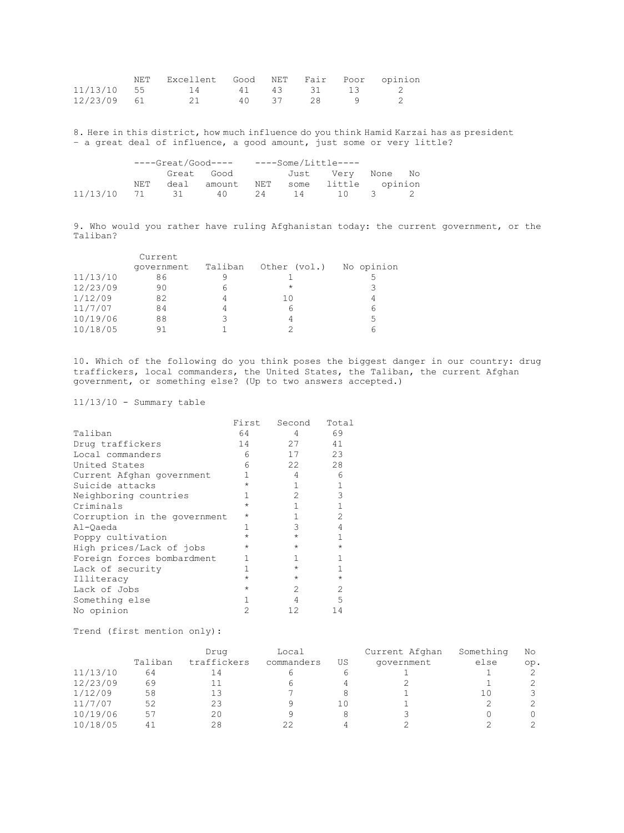|             | NET Excellent Good NET Fair Poor opinion |       |        |  |
|-------------|------------------------------------------|-------|--------|--|
|             | $11/13/10$ 55 14 41 43 31 13 2           |       |        |  |
| 12/23/09 61 |                                          | 40 37 | - 28 - |  |

8. Here in this district, how much influence do you think Hamid Karzai has as president – a great deal of influence, a good amount, just some or very little?

|                   |     | ----Great/Good---- ----Some/Little---- |                                     |    |  |                   |  |
|-------------------|-----|----------------------------------------|-------------------------------------|----|--|-------------------|--|
|                   |     |                                        | Great Good                          |    |  | Just Very None No |  |
|                   | NET |                                        | deal amount NET some little opinion |    |  |                   |  |
| 11/13/10 71 31 40 |     |                                        |                                     | 24 |  | 14 10 3           |  |

9. Who would you rather have ruling Afghanistan today: the current government, or the Taliban?

|          | Current    |         |              |            |
|----------|------------|---------|--------------|------------|
|          | qovernment | Taliban | Other (vol.) | No opinion |
| 11/13/10 | 86         |         |              |            |
| 12/23/09 | 90         | 6       | $\star$      | 3          |
| 1/12/09  | 82         |         | 10           | 4          |
| 11/7/07  | 84         |         |              | 6          |
| 10/19/06 | 88         | っ       |              | 5          |
| 10/18/05 | 91         |         |              |            |

10. Which of the following do you think poses the biggest danger in our country: drug traffickers, local commanders, the United States, the Taliban, the current Afghan government, or something else? (Up to two answers accepted.)

11/13/10 - Summary table

|                              | First   | Second        | Total   |
|------------------------------|---------|---------------|---------|
| Taliban                      | 64      | 4             | 69      |
| Drug traffickers             | 14      | 27            | 41      |
| Local commanders             | 6       | 17            | 23      |
| United States                | 6       | 22            | 28      |
| Current Afghan government    | 1       | 4             | 6       |
| Suicide attacks              | $\star$ | 1             | 1       |
| Neighboring countries        | 1       | $\mathcal{D}$ | 3       |
| Criminals                    | $\star$ | 1             | 1       |
| Corruption in the government | $\star$ | 1             | 2       |
| Al-Oaeda                     | 1       | 3             | 4       |
| Poppy cultivation            | $\star$ | $\star$       | 1       |
| High prices/Lack of jobs     | $\star$ | $\star$       | $\star$ |
| Foreign forces bombardment   | 1       | 1             |         |
| Lack of security             | 1       | $\star$       | 1       |
| Illiteracy                   | $\star$ | $\star$       | $\star$ |
| Lack of Jobs                 | $\star$ | $\mathcal{D}$ | 2       |
| Something else               | 1       | 4             | 5       |
| No opinion                   | 2       | 12            | 14      |

Trend (first mention only):

|          |         | Drug        | Local      |    | Current Afghan | Something | No  |
|----------|---------|-------------|------------|----|----------------|-----------|-----|
|          | Taliban | traffickers | commanders | US | qovernment     | else      | op. |
| 11/13/10 | 64      |             |            |    |                |           |     |
| 12/23/09 | 69      |             |            |    |                |           |     |
| 1/12/09  | 58      | 13          |            |    |                |           |     |
| 11/7/07  | 52      | 23          |            |    |                |           |     |
| 10/19/06 | 57      | 20          |            |    |                |           |     |
| 10/18/05 | 41      | 28          | 22         |    |                |           |     |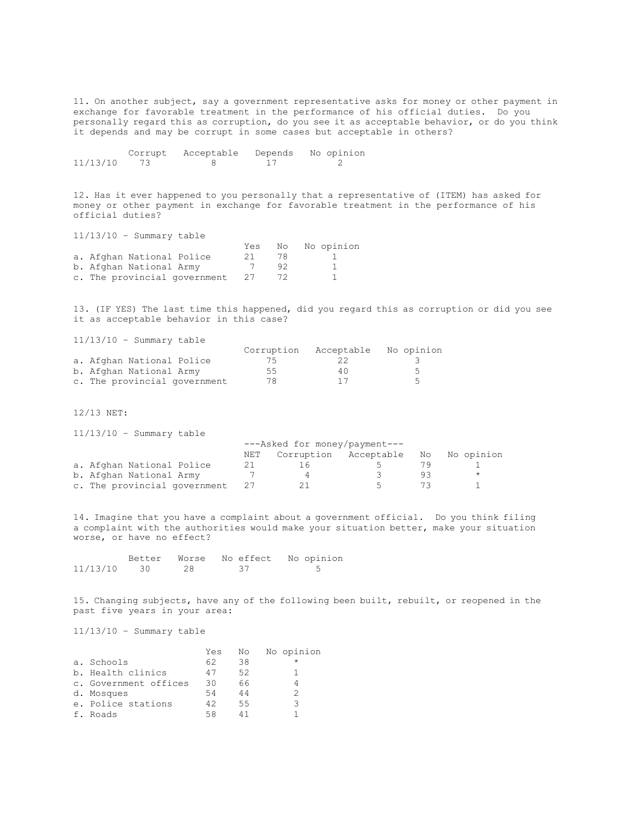11. On another subject, say a government representative asks for money or other payment in exchange for favorable treatment in the performance of his official duties. Do you personally regard this as corruption, do you see it as acceptable behavior, or do you think it depends and may be corrupt in some cases but acceptable in others?

|          | Corrupt | Acceptable | Depends | No opinion |
|----------|---------|------------|---------|------------|
| 11/13/10 |         |            |         |            |

12. Has it ever happened to you personally that a representative of (ITEM) has asked for money or other payment in exchange for favorable treatment in the performance of his official duties?

11/13/10 – Summary table

| — — <i>—</i> — — — — — |                           |                              |      |    |               |
|------------------------|---------------------------|------------------------------|------|----|---------------|
|                        |                           |                              | Yes  |    | No No opinion |
|                        | a. Afghan National Police |                              | -21- | 78 |               |
|                        | b. Afghan National Army   |                              |      | 92 |               |
|                        |                           | c. The provincial government | -27  |    |               |

13. (IF YES) The last time this happened, did you regard this as corruption or did you see it as acceptable behavior in this case?

11/13/10 – Summary table

| + + / + + / + + +            | $\cup$ annual $\vee$ capic |            |            |                          |
|------------------------------|----------------------------|------------|------------|--------------------------|
|                              |                            | Corruption | Acceptable | No opinion               |
| a. Afghan National Police    |                            | /5         |            |                          |
| b. Afghan National Army      |                            | 55         | 40         | $\overline{\phantom{a}}$ |
| c. The provincial government |                            | 78         |            | $\overline{\phantom{a}}$ |

12/13 NET:

11/13/10 – Summary table

|                              | ---Asked for money/payment--- |                                     |        |     |         |
|------------------------------|-------------------------------|-------------------------------------|--------|-----|---------|
|                              | NET                           | Corruption Acceptable No No opinion |        |     |         |
| a. Afghan National Police    |                               |                                     |        |     |         |
| b. Afghan National Army      |                               |                                     | $\sim$ | a k | $\star$ |
| c. The provincial government | 27                            |                                     | $\sim$ |     |         |

14. Imagine that you have a complaint about a government official. Do you think filing a complaint with the authorities would make your situation better, make your situation worse, or have no effect?

|          |    | Better Worse No effect No opinion |
|----------|----|-----------------------------------|
| 11/13/10 | 28 |                                   |

15. Changing subjects, have any of the following been built, rebuilt, or reopened in the past five years in your area:

11/13/10 – Summary table

|                       | Yes | No | No opinion |
|-----------------------|-----|----|------------|
| a. Schools            | 62  | 38 |            |
| b. Health clinics     | 47  | 52 |            |
| c. Government offices | 30  | 66 |            |
| d. Mosques            | 54  | 44 |            |
| e. Police stations    | 42  | 55 | २          |
| f. Roads              | 58  |    |            |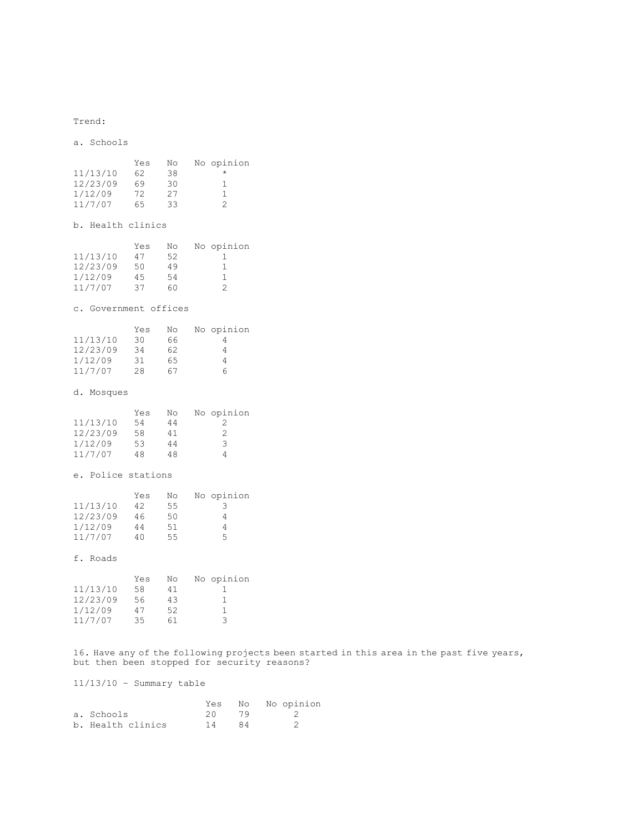Trend:

a. Schools  $Yes$  No No opinion<br>11/13/10 62 38  $*$  $62$  38  $*$ <br>  $69$  30 1 12/23/09 69 30 1 1/12/09 72 27 1 11/7/07 65 33 2 b. Health clinics Yes No No opinion<br>11/13/10 47 52 1  $\begin{array}{ccc} 47 & 52 & 1 \\ 50 & 49 & 1 \end{array}$ 12/23/09 50 49 1  $\begin{array}{cccccc} 1/12/09 & & 45 & & 54 & & 1 \\ 11/7/07 & & 37 & & 60 & & 2 \end{array}$  $11/7/07$ c. Government offices Yes No No opinion<br>11/13/10 30 66 4  $\begin{array}{cccc} 30 & 66 & & 4 \\ 34 & 62 & & 4 \\ 31 & 65 & & 4 \end{array}$ 12/23/09 34 62 4 1/12/09 31 65 4 11/7/07 28 67 6 d. Mosques Yes No No opinion<br>11/13/10 54 44 2  $\begin{array}{cccc} 54 & 44 & 2 \\ 58 & 41 & 2 \end{array}$ 12/23/09 58 41 2<br>1/12/09 53 44 3  $\begin{array}{cccc} 1/12/09 & \quad 53 & \quad 44 & \quad 3 \\ 11/7/07 & \quad 48 & \quad 48 & \quad 4 \end{array}$  $11/7/07$ e. Police stations Yes No No opinion<br>11/13/10 42 55 3 42 55 3 12/23/09 46 50 4 1/12/09 44 51 4 11/7/07 40 55 5 f. Roads Yes No No opinion<br>11/13/10 58 41 1 1 58 41 1<br>56 43 1 12/23/09 56 43 1  $1/12/09$   $47$  52 1<br> $11/7/07$  35 61 3 11/7/07 35 61 3

16. Have any of the following projects been started in this area in the past five years, but then been stopped for security reasons?

11/13/10 – Summary table

|                   | Yes |     | No No opinion |
|-------------------|-----|-----|---------------|
| a. Schools        | 20. | 79  |               |
| b. Health clinics | 14  | -84 |               |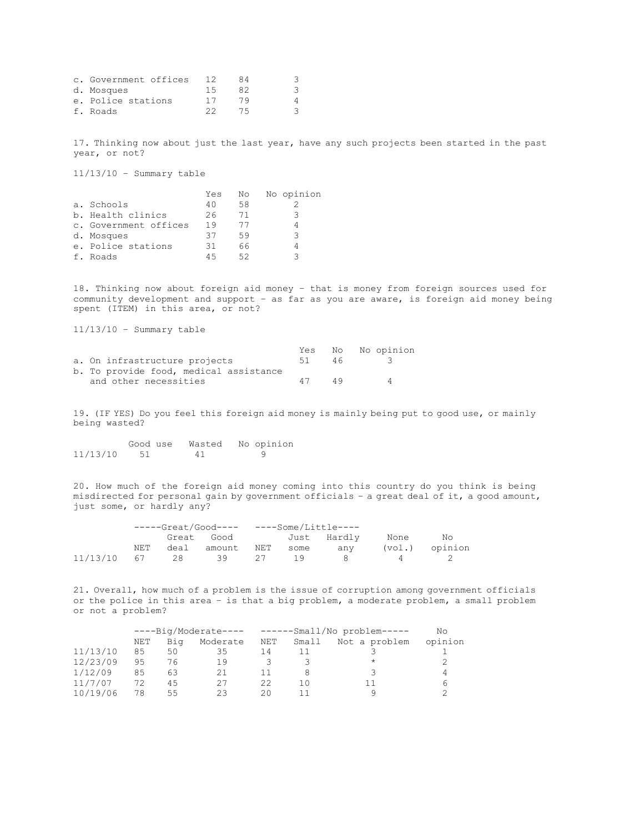| c. Government offices |    | 84  |    |
|-----------------------|----|-----|----|
| d. Mosques            | 15 | 82  | -3 |
| e. Police stations    | 17 | 79  |    |
| f. Roads              |    | 75. |    |

17. Thinking now about just the last year, have any such projects been started in the past year, or not?

11/13/10 – Summary table

|                       | Yes | No | No opinion |
|-----------------------|-----|----|------------|
| a. Schools            | 40  | 58 |            |
| b. Health clinics     | 26. | 71 | २          |
| c. Government offices | 19  |    |            |
| d. Mosques            | 37  | 59 | っ          |
| e. Police stations    | 31  | 66 |            |
| f. Roads              | 45  | 52 |            |

18. Thinking now about foreign aid money – that is money from foreign sources used for community development and support – as far as you are aware, is foreign aid money being spent (ITEM) in this area, or not?

11/13/10 – Summary table

|                                        |    |     | Yes No No opinion |
|----------------------------------------|----|-----|-------------------|
| a. On infrastructure projects          | 51 | 46  |                   |
| b. To provide food, medical assistance |    |     |                   |
| and other necessities                  | 47 | 49. | Δ                 |

19. (IF YES) Do you feel this foreign aid money is mainly being put to good use, or mainly being wasted?

|          | Good use | Wasted | No opinion |
|----------|----------|--------|------------|
| 11/13/10 |          | 41     |            |

20. How much of the foreign aid money coming into this country do you think is being misdirected for personal gain by government officials – a great deal of it, a good amount, just some, or hardly any?

|                   |     | -----Great/Good---- ----Some/Little---- |       |              |       |                |
|-------------------|-----|-----------------------------------------|-------|--------------|-------|----------------|
|                   |     | Great Good                              |       | Just Hardly  | None  | No             |
|                   | NET | deal amount                             |       | NET some any |       | (vol.) opinion |
| 11/13/10 67 28 39 |     |                                         | 27 19 |              | 8 4 7 |                |

21. Overall, how much of a problem is the issue of corruption among government officials or the police in this area – is that a big problem, a moderate problem, a small problem or not a problem?

|     | ----Big/Moderate---- |          |     |       |               |                             |  |  |  |
|-----|----------------------|----------|-----|-------|---------------|-----------------------------|--|--|--|
| NET | Bia                  | Moderate | NET | Small | Not a problem | opinion                     |  |  |  |
| 85  | 50                   | 35       | 14  |       |               |                             |  |  |  |
| 95  | 76                   | 19       |     |       | $\star$       |                             |  |  |  |
| 85  | 63                   | 21       |     |       |               |                             |  |  |  |
| 72  | 45                   | 27       | 22  | 10    | 11            | n                           |  |  |  |
| 78  | 55                   | 23       | 20  |       |               |                             |  |  |  |
|     |                      |          |     |       |               | ------Small/No problem----- |  |  |  |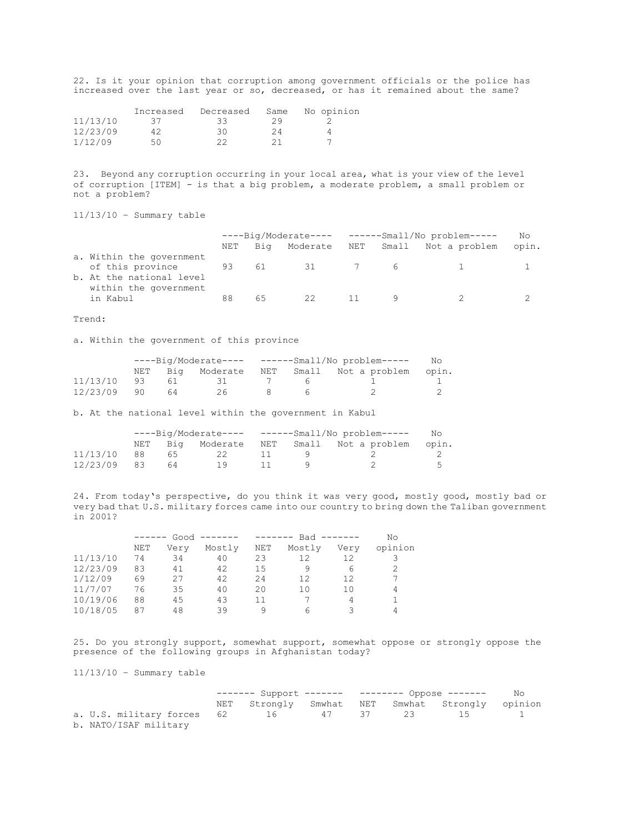22. Is it your opinion that corruption among government officials or the police has increased over the last year or so, decreased, or has it remained about the same?

|          | Increased | Decreased | Same | No opinion |
|----------|-----------|-----------|------|------------|
| 11/13/10 | - 37 -    | -33-      | 29   |            |
| 12/23/09 |           | 30        | 24   |            |
| 1/12/09  | 50        | つつ        | 21   |            |

23. Beyond any corruption occurring in your local area, what is your view of the level of corruption [ITEM] - is that a big problem, a moderate problem, a small problem or not a problem?

11/13/10 – Summary table

|                                                   | ----Big/Moderate---- ------Small/No problem----- |     |    |  | No  |                                  |       |
|---------------------------------------------------|--------------------------------------------------|-----|----|--|-----|----------------------------------|-------|
|                                                   | NET                                              | Biq |    |  |     | Moderate NET Small Not a problem | opin. |
| a. Within the government<br>of this province 93   |                                                  | 61  | 31 |  | 7 6 |                                  |       |
| b. At the national level<br>within the government |                                                  |     |    |  |     |                                  |       |
| in Kabul                                          | 88                                               | 65  | 22 |  |     |                                  |       |

Trend:

a. Within the government of this province

|          |    |    |      | ----Big/Moderate---- ------Small/No problem----- |                                                |  |  |  |
|----------|----|----|------|--------------------------------------------------|------------------------------------------------|--|--|--|
|          |    |    |      |                                                  | NET Big Moderate NET Small Not-a-problem opin. |  |  |  |
| 11/13/10 | 93 | 61 | 31   | h                                                |                                                |  |  |  |
| 12/23/09 | 90 | 64 | 26 - |                                                  |                                                |  |  |  |

b. At the national level within the government in Kabul

|             |      |    |     | ----Big/Moderate---- ------Small/No problem----- |                                                |  |  |  |
|-------------|------|----|-----|--------------------------------------------------|------------------------------------------------|--|--|--|
|             |      |    |     |                                                  | NET Big Moderate NET Small Not-a-problem opin. |  |  |  |
| 11/13/10    | - 88 | 65 | 22  |                                                  |                                                |  |  |  |
| 12/23/09 83 |      | 64 | 19. |                                                  |                                                |  |  |  |

24. From today's perspective, do you think it was very good, mostly good, mostly bad or very bad that U.S. military forces came into our country to bring down the Taliban government in 2001?

|          |            | $Good$ -------<br>------ |        |            | -------- | $Bad$ ------- | No      |
|----------|------------|--------------------------|--------|------------|----------|---------------|---------|
|          | <b>NET</b> | Verv                     | Mostly | <b>NET</b> | Mostly   | Very          | opinion |
| 11/13/10 | 74         | 34                       | 40     | 23         | 12       | 12            |         |
| 12/23/09 | 83         | 41                       | 42     | 15         | 9        | 6             |         |
| 1/12/09  | 69         | 27                       | 42     | 24         | 12       | 12            |         |
| 11/7/07  | 76         | 35                       | 40     | 20         | 10       | 10            | 4       |
| 10/19/06 | 88         | 45                       | 43     | 11         |          | 4             |         |
| 10/18/05 | 87         | 48                       | 39     | Q          | 6        |               | 4       |

25. Do you strongly support, somewhat support, somewhat oppose or strongly oppose the presence of the following groups in Afghanistan today?

11/13/10 – Summary table

|                                             | ------- Support ------- -------- Oppose ------- No |  |  |  |                                                 |  |
|---------------------------------------------|----------------------------------------------------|--|--|--|-------------------------------------------------|--|
|                                             |                                                    |  |  |  | NET Strongly Smwhat NET Smwhat Strongly opinion |  |
| a. U.S. military forces 62 16 47 37 23 15 1 |                                                    |  |  |  |                                                 |  |
| b. NATO/ISAF military                       |                                                    |  |  |  |                                                 |  |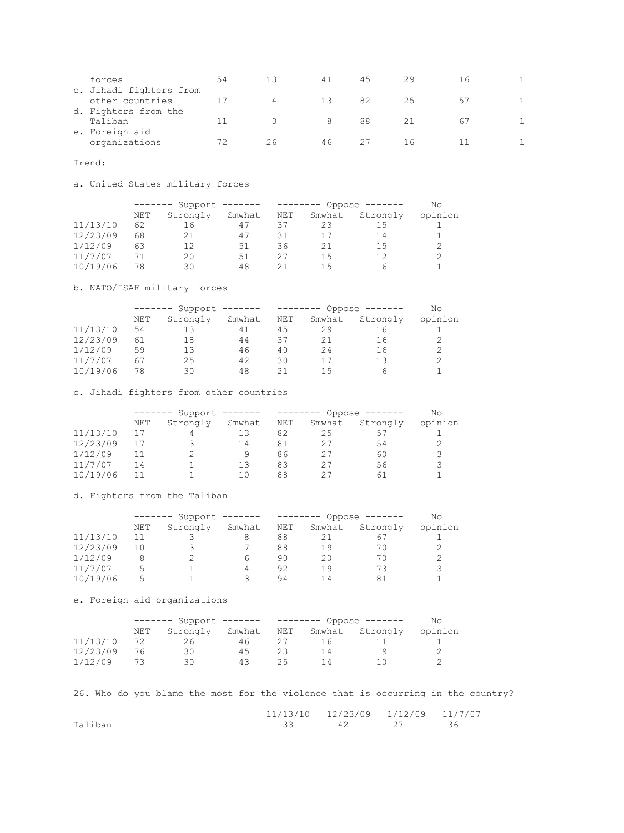| forces<br>c. Jihadi fighters from       | 54 | 13 | 41  | 45 | 29 | 16 |  |
|-----------------------------------------|----|----|-----|----|----|----|--|
| other countries<br>d. Fighters from the |    | 4  | -13 | 82 | 25 |    |  |
| Taliban<br>e. Foreign aid               |    |    | 8   | 88 |    | h. |  |
| organizations                           | 72 | 26 | 46  |    | Πh |    |  |

Trend:

a. United States military forces

|          | Support<br>-------- |          |        |     | Oppose $-----$<br>------- |          |         |  |
|----------|---------------------|----------|--------|-----|---------------------------|----------|---------|--|
|          | NET                 | Strongly | Smwhat | NET | Smwhat                    | Strongly | opinion |  |
| 11/13/10 | 62                  |          | 47     | 37  | 23                        | 15       |         |  |
| 12/23/09 | 68                  | 21       | 47     | 31  | 17                        | 14       |         |  |
| 1/12/09  | 63                  | 12       | 51     | 36  | 21                        | 15       |         |  |
| 11/7/07  |                     | 20       | 51     | 27  | 15                        | 12       |         |  |
| 10/19/06 | 78                  | 30       | 48     | 21  | 15                        |          |         |  |

b. NATO/ISAF military forces

|          | Support<br>-------- |          |        | -------- | Oppose · |          | Νo      |
|----------|---------------------|----------|--------|----------|----------|----------|---------|
|          | NET                 | Strongly | Smwhat | NET      | Smwhat   | Strongly | opinion |
| 11/13/10 | 54                  | 13       | 41     | 45       | 29       | 16       |         |
| 12/23/09 | 61                  | 18       | 44     | 37       | 21       | 16       |         |
| 1/12/09  | 59                  | 13       | 46     | 40       | 2.4      | 16       |         |
| 11/7/07  | 67                  | 25       | 42     | 30       | 17       | 13       | 2       |
| 10/19/06 | 78                  | 30       | 48     |          | 15       |          |         |

c. Jihadi fighters from other countries

|          | Support<br>$- - - - - - - -$ |          |        |     | Oppose |          |         |  |
|----------|------------------------------|----------|--------|-----|--------|----------|---------|--|
|          | NET                          | Strongly | Smwhat | NET | Smwhat | Strongly | opinion |  |
| 11/13/10 |                              |          | 13     | 82  | 25     | 57       |         |  |
| 12/23/09 |                              |          | 14     | 81  | 27     | 54       |         |  |
| 1/12/09  |                              |          | 9      | 86  | 27     | 60       | 3       |  |
| 11/7/07  | 14                           |          | 13     | 83  | 27     | 56       | Ç       |  |
| 10/19/06 |                              |          | 10     | 88  | クワ     | 61       |         |  |

d. Fighters from the Taliban

|          | Support<br>$- - - - - - - -$ |          |        |     | Oppose |          |         |
|----------|------------------------------|----------|--------|-----|--------|----------|---------|
|          | NET                          | Strongly | Smwhat | NET | Smwhat | Strongly | opinion |
| 11/13/10 |                              |          |        | 88  |        |          |         |
| 12/23/09 | 10                           |          |        | 88  | 19     | 7Λ       |         |
| 1/12/09  |                              |          |        | 90  | 20     | 70       |         |
| 11/7/07  | 5                            |          | 4      | 92  | 19     |          | Ç       |
| 10/19/06 | ц.                           |          |        | 94  | 1 4    | 81       |         |

e. Foreign aid organizations

|          | ------- Support ------- |          |        | -------- Oppose ------- | Nο             |          |         |
|----------|-------------------------|----------|--------|-------------------------|----------------|----------|---------|
|          | NET                     | Strongly | Smwhat | NET                     | Smwhat         | Strongly | opinion |
| 11/13/10 |                         | 26       | 46     |                         | $\overline{a}$ |          |         |
| 12/23/09 |                         | 30       | 45     | 23                      | 14             |          |         |
| 1/12/09  |                         | 30       | 43     | 25                      | $\perp$        |          |         |

26. Who do you blame the most for the violence that is occurring in the country?

|         | 11/13/10 12/23/09 1/12/09 11/7/07 |  |  |
|---------|-----------------------------------|--|--|
| Taliban |                                   |  |  |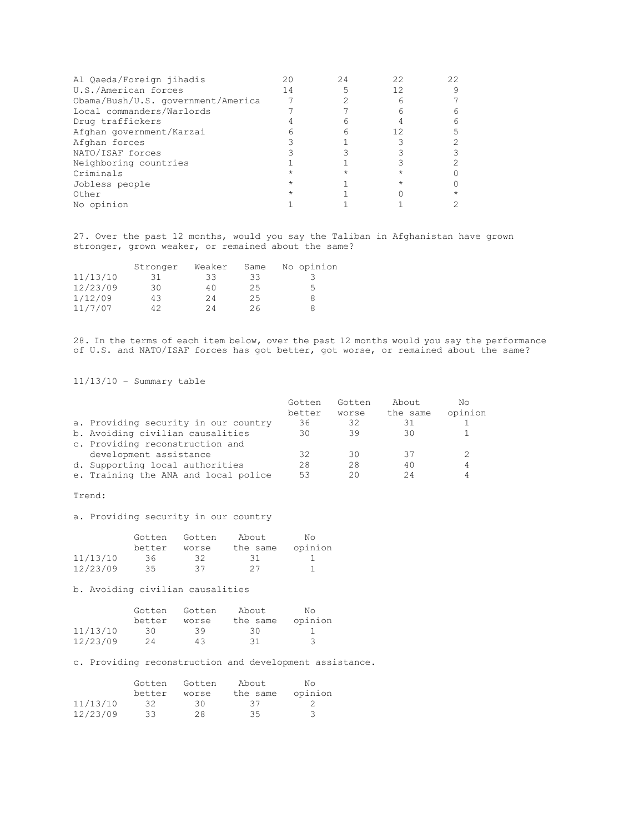| Al Qaeda/Foreign jihadis           |    | 24 | 22 | 22 |
|------------------------------------|----|----|----|----|
| U.S./American forces               | 14 |    | 12 |    |
| Obama/Bush/U.S. government/America |    |    |    |    |
| Local commanders/Warlords          |    |    |    |    |
| Drug traffickers                   |    |    |    |    |
| Afghan government/Karzai           |    |    | 12 |    |
| Afghan forces                      |    |    |    |    |
| NATO/ISAF forces                   |    |    |    |    |
| Neighboring countries              |    |    |    |    |
| Criminals                          |    |    |    |    |
| Jobless people                     |    |    |    |    |
| Other                              |    |    |    |    |
| No opinion                         |    |    |    |    |

27. Over the past 12 months, would you say the Taliban in Afghanistan have grown stronger, grown weaker, or remained about the same?

|          | Stronger | Weaker | Same | No opinion |
|----------|----------|--------|------|------------|
| 11/13/10 | 31       | 33     | 33   |            |
| 12/23/09 | 30       | 40     | 25   | 5          |
| 1/12/09  | 43       | 24     | 25   |            |
| 11/7/07  | 42       | 24     | 26   |            |

28. In the terms of each item below, over the past 12 months would you say the performance of U.S. and NATO/ISAF forces has got better, got worse, or remained about the same?

11/13/10 – Summary table

|                                      | Gotten | Gotten | About.   | Nο      |
|--------------------------------------|--------|--------|----------|---------|
|                                      | better | worse  | the same | opinion |
| a. Providing security in our country | 36     | 32     | 31       |         |
| b. Avoiding civilian causalities     | 30     | 39     | 30       |         |
| c. Providing reconstruction and      |        |        |          |         |
| development assistance               | 32     | 30     | 37       |         |
| d. Supporting local authorities      | 28     | 28     | 40       | 4       |
| e. Training the ANA and local police | 53     | 20     | 24       |         |

### Trend:

a. Providing security in our country

|          | Gotten | Gotten | About    | Nο      |
|----------|--------|--------|----------|---------|
|          | better | worse  | the same | opinion |
| 11/13/10 | - 36 - | -32    | -31      |         |
| 12/23/09 | 35     | 37     | 27       |         |

b. Avoiding civilian causalities

|          | Gotten | Gotten | About    | Nο      |
|----------|--------|--------|----------|---------|
|          | better | worse  | the same | opinion |
| 11/13/10 | -30 I  | 39     | -30      |         |
| 12/23/09 | 24     | 43     | 31       | 3       |

c. Providing reconstruction and development assistance.

|          | Gotten | Gotten | About    | Nο      |
|----------|--------|--------|----------|---------|
|          | better | worse  | the same | opinion |
| 11/13/10 | -32    | -30-   | -37      |         |
| 12/23/09 | 33     | 28     | 35       | 3       |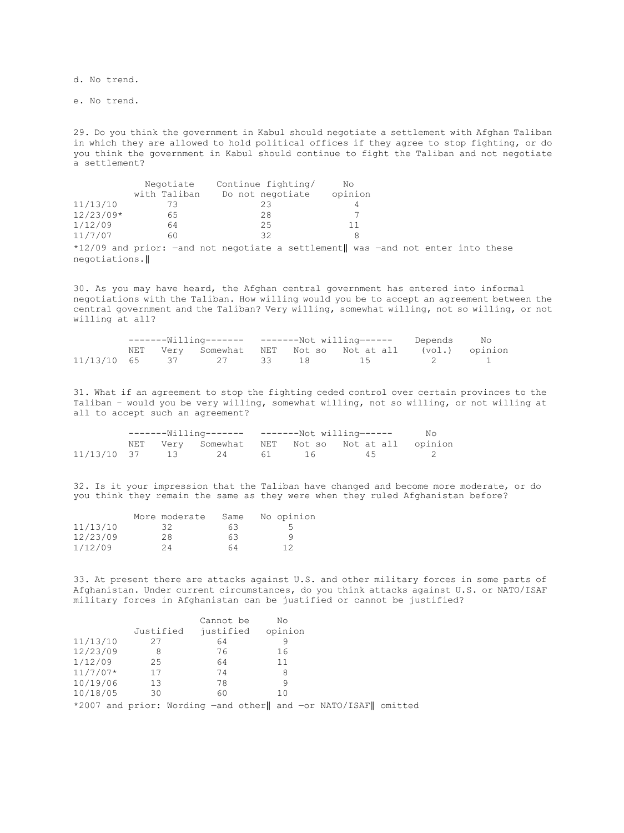d. No trend.

e. No trend.

29. Do you think the government in Kabul should negotiate a settlement with Afghan Taliban in which they are allowed to hold political offices if they agree to stop fighting, or do you think the government in Kabul should continue to fight the Taliban and not negotiate a settlement?

|               | Negotiate    | Continue fighting/ | No                                                                                |  |  |
|---------------|--------------|--------------------|-----------------------------------------------------------------------------------|--|--|
|               | with Taliban | Do not negotiate   | opinion                                                                           |  |  |
| 11/13/10      | 73           | 23                 | 4                                                                                 |  |  |
| $12/23/09*$   | 65           | 28                 |                                                                                   |  |  |
| 1/12/09       | 64           | 25                 |                                                                                   |  |  |
| 11/7/07       | 60           | 32                 |                                                                                   |  |  |
|               |              |                    | $*12/09$ and prior: -and not negotiate a settlement was -and not enter into these |  |  |
| negotiations. |              |                    |                                                                                   |  |  |

30. As you may have heard, the Afghan central government has entered into informal negotiations with the Taliban. How willing would you be to accept an agreement between the central government and the Taliban? Very willing, somewhat willing, not so willing, or not willing at all?

| -------Willing------- -------Not willing------ Depends No |  |  |  |                                                        |  |
|-----------------------------------------------------------|--|--|--|--------------------------------------------------------|--|
|                                                           |  |  |  | NET Very Somewhat NET Not so Not at all (vol.) opinion |  |
|                                                           |  |  |  | $11/13/10$ 65 37 27 33 18 15 2 1                       |  |

31. What if an agreement to stop the fighting ceded control over certain provinces to the Taliban – would you be very willing, somewhat willing, not so willing, or not willing at all to accept such an agreement?

| --------Willing------- --------Not willing------ |  |  |  | No                                           |  |
|--------------------------------------------------|--|--|--|----------------------------------------------|--|
|                                                  |  |  |  | NET Very Somewhat NET Notso Notatall opinion |  |
|                                                  |  |  |  | $11/13/10$ 37 13 24 61 16 45 2               |  |

32. Is it your impression that the Taliban have changed and become more moderate, or do you think they remain the same as they were when they ruled Afghanistan before?

|          | More moderate | Same | No opinion |
|----------|---------------|------|------------|
| 11/13/10 | -32.          | 63   |            |
| 12/23/09 | 28            | 63   | q          |
| 1/12/09  | 24            | 64   | 12         |

33. At present there are attacks against U.S. and other military forces in some parts of Afghanistan. Under current circumstances, do you think attacks against U.S. or NATO/ISAF military forces in Afghanistan can be justified or cannot be justified?

|            |           | Cannot be | No      |                                                                   |  |
|------------|-----------|-----------|---------|-------------------------------------------------------------------|--|
|            | Justified | justified | opinion |                                                                   |  |
| 11/13/10   | 27        | 64        |         |                                                                   |  |
| 12/23/09   | 8         | 76        | 16      |                                                                   |  |
| 1/12/09    | 25        | 64        | 11      |                                                                   |  |
| $11/7/07*$ | 17        | 74        | 8       |                                                                   |  |
| 10/19/06   | 13        | 78        |         |                                                                   |  |
| 10/18/05   | 30        | 60        | 10      |                                                                   |  |
|            |           |           |         | *2007 and prior: Wording -and other   and -or NATO/ISAF   omitted |  |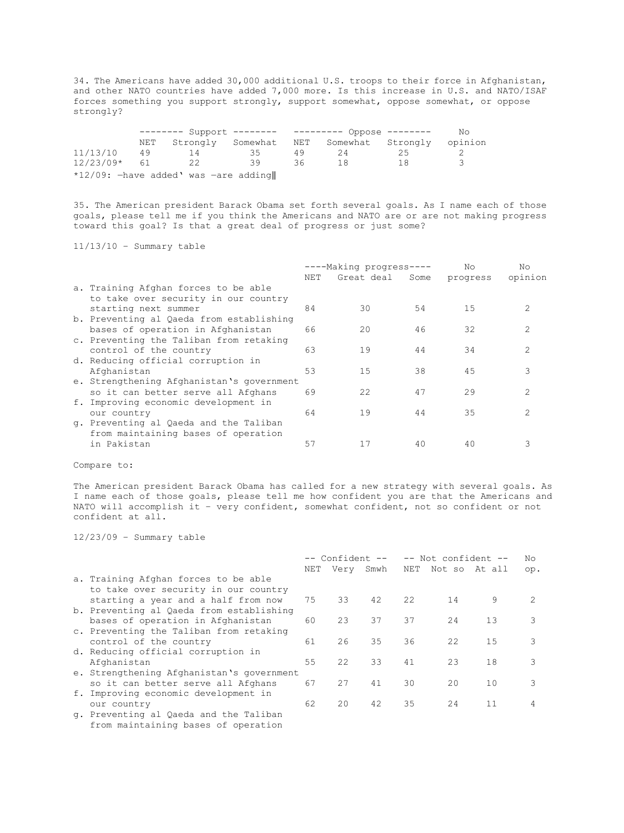34. The Americans have added 30,000 additional U.S. troops to their force in Afghanistan, and other NATO countries have added 7,000 more. Is this increase in U.S. and NATO/ISAF forces something you support strongly, support somewhat, oppose somewhat, or oppose strongly?

|                                         |     | ------- Support -------- --------- Oppose -------- |    |    |                                         | No |         |  |  |
|-----------------------------------------|-----|----------------------------------------------------|----|----|-----------------------------------------|----|---------|--|--|
|                                         | NET |                                                    |    |    | Strongly Somewhat NET Somewhat Strongly |    | opinion |  |  |
| 11/13/10                                | 49  | 14                                                 | 35 | 49 | -24                                     | 25 |         |  |  |
| $12/23/09*$                             | 61  | 22                                                 | 39 | 36 | 18                                      | 18 | 3       |  |  |
| $*12/09$ : -have added' was -are adding |     |                                                    |    |    |                                         |    |         |  |  |

35. The American president Barack Obama set forth several goals. As I name each of those goals, please tell me if you think the Americans and NATO are or are not making progress toward this goal? Is that a great deal of progress or just some?

11/13/10 – Summary table

|                                           |     | ----Making progress---- |      | No       | No                          |
|-------------------------------------------|-----|-------------------------|------|----------|-----------------------------|
|                                           | NET | Great deal              | Some | progress | opinion                     |
| a. Training Afghan forces to be able      |     |                         |      |          |                             |
| to take over security in our country      |     |                         |      |          |                             |
| starting next summer                      | 84  | 30                      | 54   | 15       | $\mathcal{L}$               |
| b. Preventing al Qaeda from establishing  |     |                         |      |          |                             |
| bases of operation in Afghanistan         | 66  | 20                      | 46   | 32       | $\mathcal{D}_{\mathcal{A}}$ |
| c. Preventing the Taliban from retaking   |     |                         |      |          |                             |
| control of the country                    | 63  | 19                      | 44   | 34       | $\mathcal{P}$               |
| d. Reducing official corruption in        |     |                         |      |          |                             |
| Afghanistan                               | 53  | 15                      | 38   | 45       | 3                           |
| e. Strengthening Afghanistan's government |     |                         |      |          |                             |
| so it can better serve all Afghans        | 69  | 22                      | 47   | 29       | $\mathcal{L}$               |
| f. Improving economic development in      |     |                         |      |          |                             |
| our country                               | 64  | 19                      | 44   | 35       | $\mathcal{L}$               |
| q. Preventing al Qaeda and the Taliban    |     |                         |      |          |                             |
| from maintaining bases of operation       |     |                         |      |          |                             |
| in Pakistan                               | 57  | 17                      | 40   | 40       | २                           |
|                                           |     |                         |      |          |                             |

Compare to:

The American president Barack Obama has called for a new strategy with several goals. As I name each of those goals, please tell me how confident you are that the Americans and NATO will accomplish it – very confident, somewhat confident, not so confident or not confident at all.

12/23/09 – Summary table

|                                           | -- Confident --<br>-- Not confident -- |           |    | No  |               |    |     |
|-------------------------------------------|----------------------------------------|-----------|----|-----|---------------|----|-----|
|                                           | NET                                    | Very Smwh |    | NET | Not so At all |    | op. |
| a. Training Afghan forces to be able      |                                        |           |    |     |               |    |     |
| to take over security in our country      |                                        |           |    |     |               |    |     |
| starting a year and a half from now       | 75                                     | 33        | 42 | 22  | 14            | 9  | 2   |
| b. Preventing al Qaeda from establishing  |                                        |           |    |     |               |    |     |
| bases of operation in Afghanistan         | 60                                     | 23        | 37 | 37  | 24            | 13 | 3   |
| c. Preventing the Taliban from retaking   |                                        |           |    |     |               |    |     |
| control of the country                    | 61                                     | 26        | 35 | 36  | 22            | 15 | 3   |
| d. Reducing official corruption in        |                                        |           |    |     |               |    |     |
| Afghanistan                               | 55                                     | 22        | 33 | 41  | 23            | 18 | 3   |
| e. Strengthening Afghanistan's government |                                        |           |    |     |               |    |     |
| so it can better serve all Afghans        | 67                                     | 27        | 41 | 30  | 20            | 10 | 3   |
| f. Improving economic development in      |                                        |           |    |     |               |    |     |
| our country                               | 62                                     | 20        | 42 | 35  | 24            | 11 | 4   |
| q. Preventing al Qaeda and the Taliban    |                                        |           |    |     |               |    |     |

from maintaining bases of operation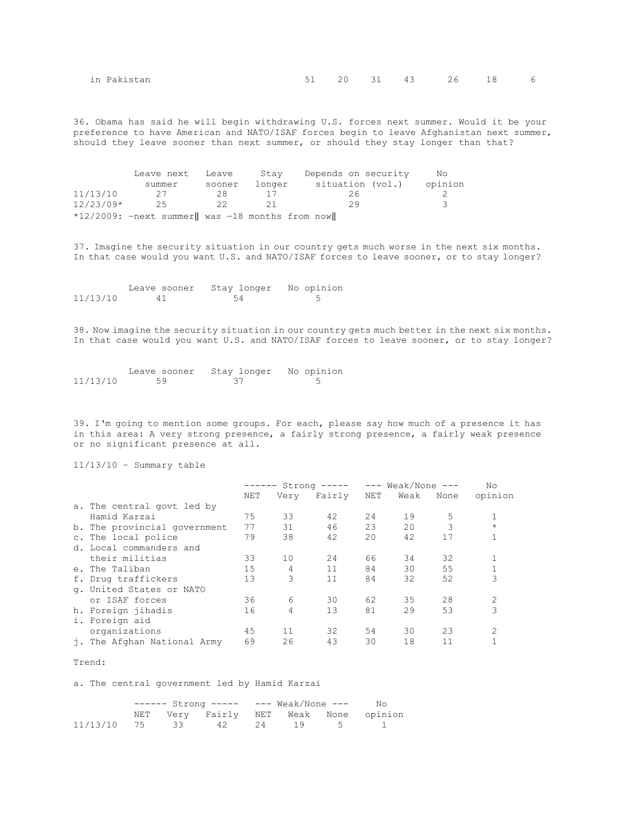| in Pakistan | $\sim$ $\sim$ $\sim$ $\sim$ $\sim$ $\sim$ | __ | __ | __ | . 31 43 26 18 | __ | 6 |
|-------------|-------------------------------------------|----|----|----|---------------|----|---|
|             |                                           |    |    |    |               |    |   |

36. Obama has said he will begin withdrawing U.S. forces next summer. Would it be your preference to have American and NATO/ISAF forces begin to leave Afghanistan next summer, should they leave sooner than next summer, or should they stay longer than that?

|             | Leave next                                       | Leave  | Stav   | Depends on security | No      |
|-------------|--------------------------------------------------|--------|--------|---------------------|---------|
|             | summer                                           | sooner | longer | situation (vol.)    | opinion |
| 11/13/10    | -27                                              | 28     |        | 26                  |         |
| $12/23/09*$ | 25                                               | - 22   |        | 29                  | ੨       |
|             | *12/2009: $-next$ summer was -18 months from now |        |        |                     |         |

37. Imagine the security situation in our country gets much worse in the next six months. In that case would you want U.S. and NATO/ISAF forces to leave sooner, or to stay longer?

|          | Leave sooner | Stay longer No opinion |  |
|----------|--------------|------------------------|--|
| 11/13/10 | 41           | 54                     |  |

38. Now imagine the security situation in our country gets much better in the next six months. In that case would you want U.S. and NATO/ISAF forces to leave sooner, or to stay longer?

|          | Leave sooner | Stay longer | No opinion |
|----------|--------------|-------------|------------|
| 11/13/10 | 59           |             |            |

39. I'm going to mention some groups. For each, please say how much of a presence it has in this area: A very strong presence, a fairly strong presence, a fairly weak presence or no significant presence at all.

11/13/10 – Summary table

|                              | ------ |      | Strong ----- | $---$ Weak/None $---$ |      |      | Nο             |
|------------------------------|--------|------|--------------|-----------------------|------|------|----------------|
|                              | NET    | Very | Fairly       | NET                   | Weak | None | opinion        |
| a. The central govt led by   |        |      |              |                       |      |      |                |
| Hamid Karzai                 | 75     | 33   | 42           | 24                    | 19   | 5    |                |
| b. The provincial government | 77     | 31   | 46           | 23                    | 20   | 3    | $\star$        |
| c. The local police          | 79     | 38   | 42           | 20                    | 42   | 17   | 1              |
| d. Local commanders and      |        |      |              |                       |      |      |                |
| their militias               | 33     | 10   | 24           | 66                    | 34   | 32   |                |
| e. The Taliban               | 15     | 4    | 11           | 84                    | 30   | 55   |                |
| f. Drug traffickers          | 13     | 3    | 11           | 84                    | 32   | 52   | 3              |
| q. United States or NATO     |        |      |              |                       |      |      |                |
| or ISAF forces               | 36     | 6    | 30           | 62                    | 35   | 28   | 2              |
| h. Foreign jihadis           | 16     | 4    | 13           | 81                    | 29   | 53   | 3              |
| i. Foreign aid               |        |      |              |                       |      |      |                |
| organizations                | 45     | 11   | 32           | 54                    | 30   | 23   | $\mathfrak{D}$ |
| j. The Afghan National Army  | 69     | 26   | 43           | 30                    | 18   | 11   |                |

#### Trend:

a. The central government led by Hamid Karzai

|                               | $--- - 5t$ rong $--- - 100$ Weak/None $---$ |                                       |  |  | No |  |
|-------------------------------|---------------------------------------------|---------------------------------------|--|--|----|--|
|                               |                                             | NET Very Fairly NET Weak None opinion |  |  |    |  |
| $11/13/10$ 75 33 42 24 19 5 1 |                                             |                                       |  |  |    |  |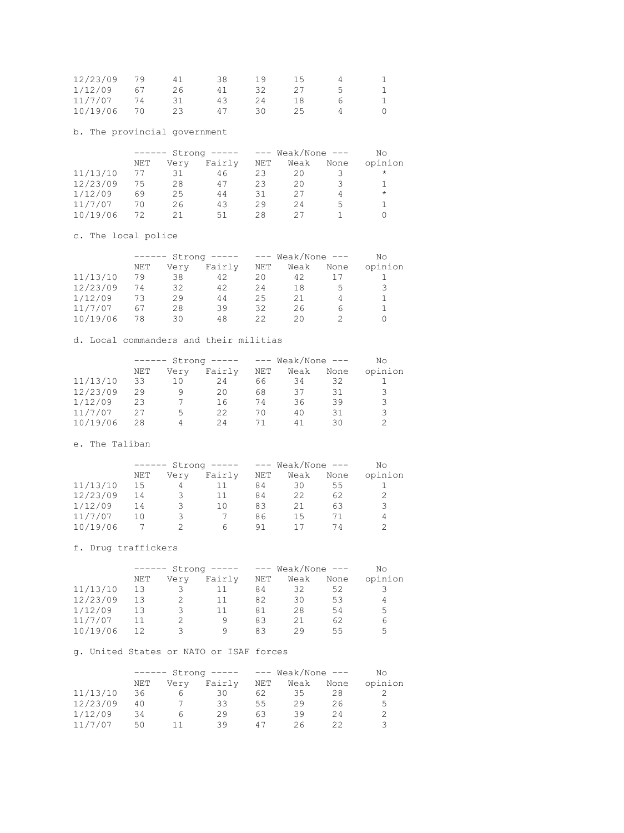| 12/23/09 |    | 41 | 38 | 1 9 | 15 |  |
|----------|----|----|----|-----|----|--|
| 1/12/09  | 67 | 26 |    |     |    |  |
| 11/7/07  |    |    | 43 | 24  | 18 |  |
| 10/19/06 |    |    |    |     | 25 |  |

b. The provincial government

|          | $- - - - - -$ |      | $Strong$ ----- |            | $---$ Weak/None $---$ |      | No      |
|----------|---------------|------|----------------|------------|-----------------------|------|---------|
|          | NET           | Very | Fairly         | <b>NET</b> | Weak                  | None | opinion |
| 11/13/10 | 77            | 31   | 46             | 23         | 20                    |      | $\star$ |
| 12/23/09 | 75            | 28   | 47             | 23         | 20                    |      |         |
| 1/12/09  | 69            | 25   | 44             | 31         | 27                    |      | $\star$ |
| 11/7/07  | 70            | 26   | 43             | 29         | 24                    | 5    |         |
| 10/19/06 | 72            | 21   | 51             | 28         | クワ                    |      |         |

c. The local police

|          | $- - - - - - -$ |      | $Strong$ ----- |     | $---$ Weak/None $---$ |      | No      |
|----------|-----------------|------|----------------|-----|-----------------------|------|---------|
|          | NET             | Very | Fairly         | NET | Weak                  | None | opinion |
| 11/13/10 | 79              | 38   | 42             | 20  | 42                    |      |         |
| 12/23/09 | 74              | 32   | 42             | 24  | 18                    | ٠h   | 3       |
| 1/12/09  | 73              | 29   | 44             | 25  | 21                    |      |         |
| 11/7/07  | 67              | 28   | 39             | 32  | 26                    | 6    |         |
| 10/19/06 | 78              | 30   | 48             | クク  | 20.                   |      |         |

d. Local commanders and their militias

|          | ------ |      | $Strong$ ----- | $---$ | Weak/None $---$ |      | No      |
|----------|--------|------|----------------|-------|-----------------|------|---------|
|          | NET    | Very | Fairly         | NET   | Weak            | None | opinion |
| 11/13/10 | 33     | 10   | 24             | 66    | 34              | 32   |         |
| 12/23/09 | 29     |      | 20             | 68    | 37              | 31   | 3       |
| 1/12/09  | 23     |      | 16             | 74    | 36              | 39   | 3       |
| 11/7/07  | 27     | 5.   | 22             | 70    | 40              | 31   | 3       |
| 10/19/06 | 28     |      | 24             | 71    | 41              | 30   |         |

e. The Taliban

|          | $- - - - - -$ |      | $Strong$ ----- |     | $---$ Weak/None $---$ |      | No      |
|----------|---------------|------|----------------|-----|-----------------------|------|---------|
|          | NET           | Very | Fairly         | NET | Weak                  | None | opinion |
| 11/13/10 | 15            | 4    |                | 84  | 30                    | 55   |         |
| 12/23/09 | 14            | 3    | 11             | 84  | 22                    | 62   |         |
| 1/12/09  | 14            | 3    | 1 O            | 83  | 21                    | 63   | 3       |
| 11/7/07  | 10            | ₹    |                | 86  | 1.5                   | 71   | 4       |
| 10/19/06 |               |      | h              | 91  |                       | 74   | 2       |

f. Drug traffickers

|          | $-- - - - -$ |      | $Strong$ ----- |     | $---$ Weak/None $---$ |      | Nο      |
|----------|--------------|------|----------------|-----|-----------------------|------|---------|
|          | NET          | Very | Fairly         | NET | Weak                  | None | opinion |
| 11/13/10 | 13           | 3    |                | 84  | 32                    | 52   |         |
| 12/23/09 | 13           |      | 11             | 82  | 30                    | 53   |         |
| 1/12/09  | 13           | 3    | 11             | 81  | 28                    | 54   | 5       |
| 11/7/07  | 11           |      | 9              | 83  | 21                    | 62   | 6       |
| 10/19/06 | 12           |      | Q              | 83  | 29                    | 55   | 5       |

g. United States or NATO or ISAF forces

|          | Strong -----<br>$------$ |      |        |     | $---$ Weak/None $---$ |      | Nο      |
|----------|--------------------------|------|--------|-----|-----------------------|------|---------|
|          | NET                      | Very | Fairly | NET | Weak                  | None | opinion |
| 11/13/10 | 36                       |      | 30     | 62  | 35.                   | 28   |         |
| 12/23/09 | 40                       |      | 33.    | 55  | 29                    | 26   | 5.      |
| 1/12/09  | 34                       | h    | 29     | 63  | 39                    | 24   |         |
| 11/7/07  | 50                       |      | 30     | 47  | 26                    |      |         |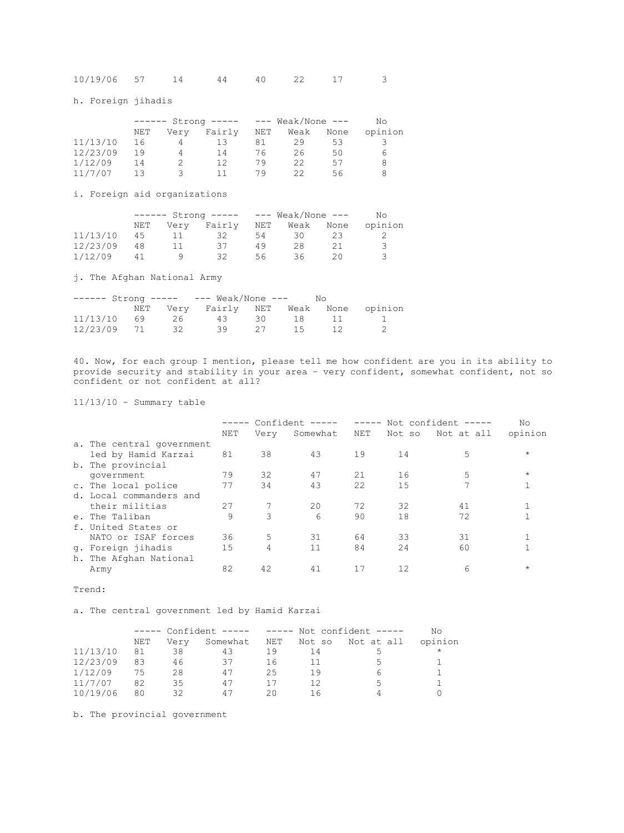| 10/19/06 57 |  |  |  |  |  |  |  |
|-------------|--|--|--|--|--|--|--|
|-------------|--|--|--|--|--|--|--|

h. Foreign jihadis

|          |     |        | Strong ----- | $---$ | Weak/None $---$ |      | No      |
|----------|-----|--------|--------------|-------|-----------------|------|---------|
|          | NET | Verv   | Fairly       | NET   | Weak            | None | opinion |
| 11/13/10 | 16  |        | 13           | 81    | 29              | 53   |         |
| 12/23/09 | 19  | 4      | 14           | 76    | 26              | 50   | 6       |
| 1/12/09  | 14  |        | 12           | 79    | 22              | 57   |         |
| 11/7/07  | 13  | $\sim$ | 11.          | 79    | フフ              | 56   |         |

i. Foreign aid organizations

|          |     |      | $\text{Strong}$ ----- --- Weak/None --- |     |      |      | Nο      |
|----------|-----|------|-----------------------------------------|-----|------|------|---------|
|          | NET | Very | Fairly                                  | NET | Weak | None | opinion |
| 11/13/10 | 4.5 |      | 32                                      | 54  | 30.  |      |         |
| 12/23/09 | 48  |      | 37                                      | 49  | 28   |      | ₹       |
| 1/12/09  |     |      | ヌク                                      | 56  | 36.  |      |         |

j. The Afghan National Army

|             |    | $--- - 5t$ rong $--- - 100$ Weak/None $---$<br>Nο |  |       |  |  |
|-------------|----|---------------------------------------------------|--|-------|--|--|
|             |    | NET Very Fairly NET Weak None opinion             |  |       |  |  |
| 11/13/10 69 |    | 26 43 30 18                                       |  |       |  |  |
| 12/23/09 71 | 32 | 39                                                |  | 27 15 |  |  |

40. Now, for each group I mention, please tell me how confident are you in its ability to provide security and stability in your area – very confident, somewhat confident, not so confident or not confident at all?

11/13/10 – Summary table

|                           |     |      | $---$ Confident $---$ | $\qquad \qquad - - - - -$ |        | Not confident ----- | No         |
|---------------------------|-----|------|-----------------------|---------------------------|--------|---------------------|------------|
|                           | NET | Very | Somewhat              | NET                       | Not so | Not at all          | opinion    |
| a. The central government |     |      |                       |                           |        |                     |            |
| led by Hamid Karzai       | 81  | 38   | 43                    | 19                        | 14     | 5                   | $\star$    |
| b. The provincial         |     |      |                       |                           |        |                     |            |
| government                | 79  | 32   | 47                    | 21                        | 16     | 5                   | $\star$    |
| c. The local police       | 77  | 34   | 43                    | 22                        | 15     |                     |            |
| d. Local commanders and   |     |      |                       |                           |        |                     |            |
| their militias            | 27  |      | 20                    | 72                        | 32     | 41                  |            |
| e. The Taliban            | 9   | 3    | 6                     | 90                        | 18     | 72                  |            |
| f. United States or       |     |      |                       |                           |        |                     |            |
| NATO or ISAF forces       | 36  | .5   | 31                    | 64                        | 33     | 31                  |            |
| g. Foreign jihadis        | 15  | 4    | 11                    | 84                        | 24     | 60                  |            |
| h. The Afghan National    |     |      |                       |                           |        |                     |            |
| Army                      | 82  | 42   | 41                    | 17                        | 12     | 6                   | $^{\star}$ |

Trend:

a. The central government led by Hamid Karzai

|          |     |      |          |     |        |                | Nο      |
|----------|-----|------|----------|-----|--------|----------------|---------|
|          | NET | Very | Somewhat | NET | Not so | Not at all     | opinion |
| 11/13/10 | 81  | 38   | 43       | 19  | 14     |                | $\star$ |
| 12/23/09 | 83  | 46   | 37       | 16  | 11     | ٠,             |         |
| 1/12/09  | 75  | 28   | 47       | 25  | 19     |                |         |
| 11/7/07  | 82  | 35   | 47       |     | 12     | $\overline{a}$ |         |
| 10/19/06 | 80  | 32   | 47       | 20  | 16     |                |         |

b. The provincial government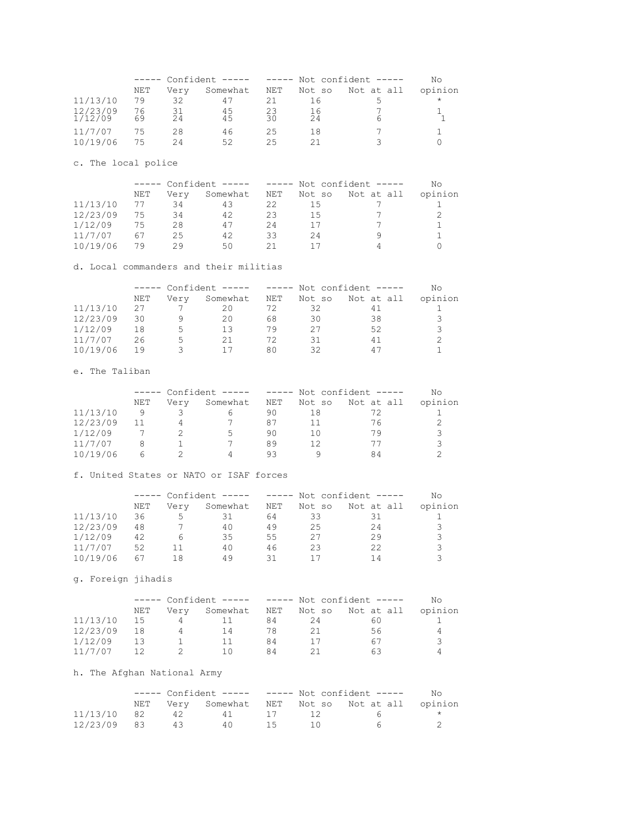|                     |          | ----- Confident ----- ----- Not confident ----- |          |          |          |            | Nο      |  |
|---------------------|----------|-------------------------------------------------|----------|----------|----------|------------|---------|--|
|                     | NET      | Very                                            | Somewhat | NET      | Not so   | Not at all | opinion |  |
| 11/13/10            | 79       | 32                                              | 47       |          |          |            | $\star$ |  |
| 12/23/09<br>1/12/09 | 76<br>69 | 31<br>24                                        | 45<br>45 | 23<br>30 | 16<br>24 | h          |         |  |
| 11/7/07             | 75       | 28                                              | 46       | 25       | 18       |            |         |  |
| 10/19/06            | 75       | 24                                              | 52       | 25.      |          |            |         |  |

c. The local police

|          |     | ----- Confident ----- ----- Not confident ----- |          |     |        |            | No      |
|----------|-----|-------------------------------------------------|----------|-----|--------|------------|---------|
|          | NET | Verv                                            | Somewhat | NET | Not so | Not at all | opinion |
| 11/13/10 | 77  | 34                                              | 43       | 22  | 15     |            |         |
| 12/23/09 | 75  | 34                                              | 42       | 23  | 15     |            |         |
| 1/12/09  | 75  | 28                                              | 47       | 24  |        |            |         |
| 11/7/07  | 67  | 25                                              | 42       | 33  | 24     |            |         |
| 10/19/06 | 79  | つの                                              | 50.      |     |        |            |         |

d. Local commanders and their militias

|          |     |      |          |     |        |            | Nο      |
|----------|-----|------|----------|-----|--------|------------|---------|
|          | NET | Very | Somewhat | NET | Not so | Not at all | opinion |
| 11/13/10 | 27  |      | 20       | 72  | 32     | 41         |         |
| 12/23/09 | 30  |      | 20       | 68  | 30     | 38         |         |
| 1/12/09  | 18  | ٠h   | 13       | 79  | 27     | 52         |         |
| 11/7/07  | 26  | ↳    | 21       | 72  | 31     | 41         |         |
| 10/19/06 | 19  |      |          | 80  | 32     | 47         |         |

e. The Taliban

|          |     |      |          |     |        |            | Nο      |
|----------|-----|------|----------|-----|--------|------------|---------|
|          | NET | Verv | Somewhat | NET | Not so | Not at all | opinion |
| 11/13/10 | q   |      |          | 90  |        |            |         |
| 12/23/09 | 11  |      |          | 87  |        | 76         |         |
| 1/12/09  |     |      | 5.       | 90  | 10     | 79         |         |
| 11/7/07  | 8   |      |          | 89  | 12     | 77         | २       |
| 10/19/06 | h   |      |          | 93  |        | я4         |         |

f. United States or NATO or ISAF forces

|          |     | ----- Confident ----- |          |     |        | ----- Not confident ----- | Nο      |
|----------|-----|-----------------------|----------|-----|--------|---------------------------|---------|
|          | NET | Verv                  | Somewhat | NET | Not so | Not at all                | opinion |
| 11/13/10 | 36  | 5.                    | 31       | 64  | 33     |                           |         |
| 12/23/09 | 48  |                       | 40       | 49  | 25     | 24                        | 3       |
| 1/12/09  | 42  | h                     | 35       | 55  | 27     | 29                        |         |
| 11/7/07  | 52  |                       | 40       | 46  | 23     | 22                        | २       |
| 10/19/06 | 67  | 18                    | 49       |     |        | 1 4                       |         |

g. Foreign jihadis

|          |     | $---$ Confident $-- ---$ Not confident $---$ |            |     |        | Nο         |         |
|----------|-----|----------------------------------------------|------------|-----|--------|------------|---------|
|          | NET | Verv                                         | Somewhat   | NET | Not so | Not at all | opinion |
| 11/13/10 | 1.5 | 4                                            |            | 84  | 24     | 60         |         |
| 12/23/09 | 18  | 4                                            | -14        | 78  | 21     | 56         |         |
| 1/12/09  | 13  |                                              | 11         | 84  |        | 67         | ੨       |
| 11/7/07  |     | -2.                                          | $-1$ $(1)$ | Я4  |        | 6 ⊀        |         |

# h. The Afghan National Army

|             | $---$ Confident $-- ---$ Not confident $---$ |    |               |  |  |  |                                                 | No. |
|-------------|----------------------------------------------|----|---------------|--|--|--|-------------------------------------------------|-----|
|             |                                              |    |               |  |  |  | NET Very Somewhat NET Not so Not at all opinion |     |
| 11/13/10 82 |                                              |    | 42 41 17 12 6 |  |  |  |                                                 |     |
| 12/23/09 83 |                                              | 43 | 40 1.5        |  |  |  |                                                 |     |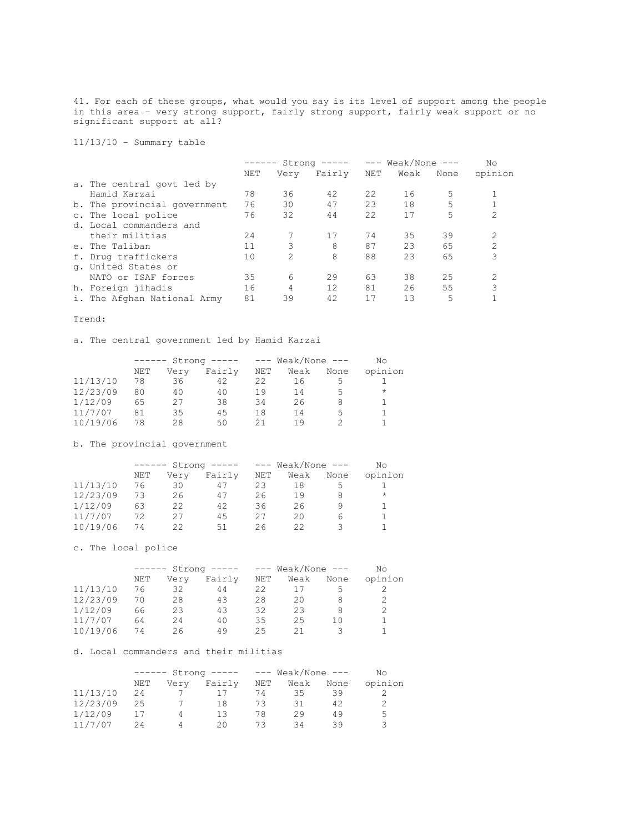41. For each of these groups, what would you say is its level of support among the people in this area – very strong support, fairly strong support, fairly weak support or no significant support at all?

11/13/10 – Summary table

|                              | ------ |                | $Strong$ ----- | $---$ Weak/None $---$ |      | No   |                |
|------------------------------|--------|----------------|----------------|-----------------------|------|------|----------------|
|                              | NET    | Verv           | Fairly NET     |                       | Weak | None | opinion        |
| a. The central govt led by   |        |                |                |                       |      |      |                |
| Hamid Karzai                 | 78     | 36             | 42             | 22                    | 16   | 5    |                |
| b. The provincial government | 76     | 30             | 47             | 23                    | 18   | 5    |                |
| c. The local police          | 76     | 32             | 44             | 22                    | 17   | 5    | 2              |
| d. Local commanders and      |        |                |                |                       |      |      |                |
| their militias               | 24     |                | 17             | 74                    | 35   | 39   | 2              |
| e. The Taliban               | 11     | 3              | 8              | 87                    | 23   | 65   | $\mathfrak{D}$ |
| f. Drug traffickers          | 10     | $\overline{2}$ | 8              | 88                    | 23   | 65   | 3              |
| q. United States or          |        |                |                |                       |      |      |                |
| NATO or ISAF forces          | 35     | 6              | 29             | 63                    | 38   | 25   | 2              |
| h. Foreign jihadis           | 16     | 4              | 12             | 81                    | 26   | 55   | 3              |
| i. The Afghan National Army  | 81     | 39             | 42             | 17                    | 13   | 5    |                |

#### Trend:

a. The central government led by Hamid Karzai

|          |     | $Strong$ -----<br>------ |        |     | $---$ Weak/None $---$ |      | Nο      |
|----------|-----|--------------------------|--------|-----|-----------------------|------|---------|
|          | NET | Very                     | Fairly | NET | Weak                  | None | opinion |
| 11/13/10 | 78  | 36                       | 42     | 22  | 16                    |      |         |
| 12/23/09 | 80  | 40                       | 40     | 19  | 14                    | 5    | $\star$ |
| 1/12/09  | 65  | 27                       | 38     | 34  | 26                    | 8    |         |
| 11/7/07  | 81  | 35                       | 45     | 18  | 14                    | 5    |         |
| 10/19/06 | 78  | 28                       | 50     | 21  | 1 Q                   |      |         |

b. The provincial government

|          | ------ |      | Strong ----- |     | $---$ Weak/None $---$ |      | Nο      |
|----------|--------|------|--------------|-----|-----------------------|------|---------|
|          | NET    | Very | Fairly       | NET | Weak                  | None | opinion |
| 11/13/10 | 76     | 30   | 47           | 23  | 18                    | .5   |         |
| 12/23/09 | 73     | 26   | 47           | 26  | 19                    | 8    | $\star$ |
| 1/12/09  | 63     | 22   | 42           | 36  | 26                    |      |         |
| 11/7/07  | 72     | 27   | 45           | 27  | 20                    | 6    |         |
| 10/19/06 | 74     | クク   | 51           | 26  | フフ                    |      |         |

c. The local police

|          |     | $Strong$ -----<br>$-- - - - -$ |        |     | $---$ Weak/None $---$ |      | Nο      |
|----------|-----|--------------------------------|--------|-----|-----------------------|------|---------|
|          | NET | Very                           | Fairly | NET | Weak                  | None | opinion |
| 11/13/10 | 76  | 32                             | 44     | 22  |                       |      |         |
| 12/23/09 | 70  | 28                             | 43     | 28  | 20                    | 8    |         |
| 1/12/09  | 66  | 23                             | 43     | 32  | 23                    | 8    |         |
| 11/7/07  | 64  | 24                             | 40     | 35  | 25                    | 1 ೧  |         |
| 10/19/06 | 74  | 26.                            | 49     | 25  | 21                    |      |         |

d. Local commanders and their militias

|          |     | $Strong$ -----<br>$- - - - - -$ |        |      | $---$ Weak/None $---$ |      | Nο      |
|----------|-----|---------------------------------|--------|------|-----------------------|------|---------|
|          | NET | Very                            | Fairly | NET  | Weak                  | None | opinion |
| 11/13/10 | 24  |                                 |        | 74   | 35                    | 39   |         |
| 12/23/09 | 25  |                                 | 18     | 73   | 31                    | 42   |         |
| 1/12/09  |     | Δ                               | 13     | 78   | 29                    | 49   | 5       |
| 11/7/07  | 24  | Δ                               | 20.    | - 13 | 34                    | 39   |         |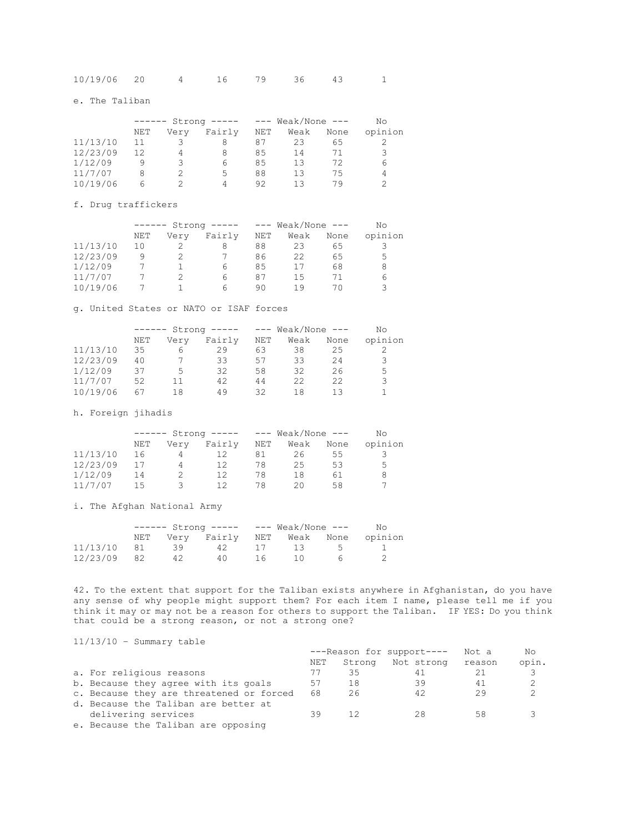| 10/19/06 20 |  |  |  |  |  |  |  |
|-------------|--|--|--|--|--|--|--|
|-------------|--|--|--|--|--|--|--|

e. The Taliban

| $Strong$ -----<br>$- - - - - -$ |      |        |     |      |      | Nο                    |
|---------------------------------|------|--------|-----|------|------|-----------------------|
| NET                             | Very | Fairly | NET | Weak | None | opinion               |
| 11                              | २    | 8      | 87  | 23   | 65   |                       |
| 12                              | 4    | 8      | 85  | 14   | 71   |                       |
| q                               | 3    | 6      | 85  | 13   | フク   | 6                     |
| 8                               |      | 5.     | 88  | 13   | 75   | 4                     |
| h                               |      | 4      | 92  | 13   | 79   |                       |
|                                 |      |        |     |      |      | $---$ Weak/None $---$ |

f. Drug traffickers

|          |     | $Strong$ ----- |        |            | $---$ Weak/None $---$ | No   |         |
|----------|-----|----------------|--------|------------|-----------------------|------|---------|
|          | NET | Very           | Fairly | <b>NET</b> | Weak                  | None | opinion |
| 11/13/10 | 10  |                |        | 88         | 23                    | 65   |         |
| 12/23/09 | q   |                |        | 86         | 22                    | 65   | 5       |
| 1/12/09  |     |                | 6      | 85         |                       | 68   | 8       |
| 11/7/07  |     |                | 6      | 87         | 15                    |      | 6       |
| 10/19/06 |     |                | h      | 90         | 1 9                   |      |         |

g. United States or NATO or ISAF forces

|          |     | $Strong$ -----<br>$- - - - - -$ |        |     | $---$ Weak/None $---$ |      | No      |
|----------|-----|---------------------------------|--------|-----|-----------------------|------|---------|
|          | NET | Very                            | Fairly | NET | Weak                  | None | opinion |
| 11/13/10 | 35  | b                               | 29     | 63  | 38                    | 25   |         |
| 12/23/09 | 40  |                                 | 33     | 57  | 33                    | 24   | 3       |
| 1/12/09  | 37  | 5                               | 32     | 58  | 32                    | 26   | 5.      |
| 11/7/07  | 52  | 11                              | 42     | 44  | 22                    | 22   | 3       |
| 10/19/06 | 67  | 18                              | 49     | 32  | 18                    | 13   |         |

h. Foreign jihadis

|          |     |      |        |     | --- Weak/None --- |      | No      |
|----------|-----|------|--------|-----|-------------------|------|---------|
|          | NET | Verv | Fairly | NET | Weak              | None | opinion |
| 11/13/10 | 16  |      | 12     | 81  | 26                | 55   |         |
| 12/23/09 |     | 4    | 12     | 78  | 25                | 53   | 5.      |
| 1/12/09  | 14  |      | 1つ     | 78  | 18                | 61   |         |
| 11/7/07  | 15  | ∵.   | ヿゔ     | 78  | 20.               | 58   |         |

i. The Afghan National Army

|             | $--- - 5t$ rong $--- - 200$ Weak/None $---$ |      |                                   |     |                  |        | No. |
|-------------|---------------------------------------------|------|-----------------------------------|-----|------------------|--------|-----|
|             | NET                                         |      | Very Fairly NET Weak None opinion |     |                  |        |     |
| 11/13/10 81 |                                             | - 39 | 42                                |     | 17 13 5          |        |     |
| 12/23/09 82 |                                             | 42   | 40.                               | 16. | $\left(1\right)$ | $\sim$ |     |

42. To the extent that support for the Taliban exists anywhere in Afghanistan, do you have any sense of why people might support them? For each item I name, please tell me if you think it may or may not be a reason for others to support the Taliban. IF YES: Do you think that could be a strong reason, or not a strong one?

11/13/10 – Summary table

|                                          | ---Reason for support---- |    |                          | Not a | No.   |
|------------------------------------------|---------------------------|----|--------------------------|-------|-------|
|                                          | NET                       |    | Strong Not strong reason |       | opin. |
| a. For religious reasons                 | T                         | 35 | 41                       | 21    | 3     |
| b. Because they agree with its goals     | 57                        | 18 | 39                       | 41    | 2     |
| c. Because they are threatened or forced | 68                        | 26 | 42                       | 29    | 2     |
| d. Because the Taliban are better at     |                           |    |                          |       |       |
| delivering services                      | 39                        | 12 | 28                       | 58    |       |
| e. Because the Taliban are opposing      |                           |    |                          |       |       |
|                                          |                           |    |                          |       |       |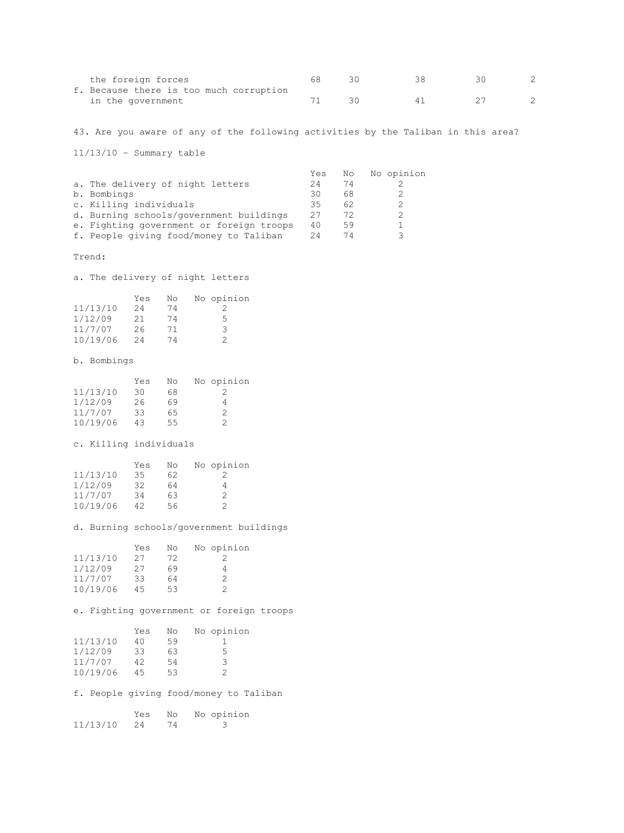| the foreign forces                      |     |  |  |
|-----------------------------------------|-----|--|--|
| f. Because there is too much corruption |     |  |  |
| in the government                       | 3 U |  |  |

43. Are you aware of any of the following activities by the Taliban in this area?

11/13/10 – Summary table

|                                          | Yes | No | No opinion |
|------------------------------------------|-----|----|------------|
| a. The delivery of night letters         | 24  | 74 |            |
| b. Bombings                              | 30  | 68 |            |
| c. Killing individuals                   | 35  | 62 |            |
| d. Burning schools/government buildings  | 27  | 72 |            |
| e. Fighting government or foreign troops | 40  | 59 |            |
| f. People giving food/money to Taliban   | 24  |    |            |
|                                          |     |    |            |

Trend:

a. The delivery of night letters

|          | Yes | No | No opinion |
|----------|-----|----|------------|
| 11/13/10 | 24  | 74 |            |
| 1/12/09  | 21  | 74 | 5          |
| 11/7/07  | 26  | 71 | 3          |
| 10/19/06 | 24  | 74 | っ          |

b. Bombings

|          | Yes | No | No opinion |
|----------|-----|----|------------|
| 11/13/10 | 30  | 68 |            |
| 1/12/09  | 26  | 69 | 4          |
| 11/7/07  | 33  | 65 | 2          |
| 10/19/06 | 43  | 55 | 2          |

c. Killing individuals

|          | Yes | No | No opinion |
|----------|-----|----|------------|
| 11/13/10 | 35  | 62 |            |
| 1/12/09  | 32  | 64 |            |
| 11/7/07  | 34  | 63 | 2          |
| 10/19/06 | 42  | 56 | っ          |

d. Burning schools/government buildings

|          | Yes | No | No opinion    |
|----------|-----|----|---------------|
| 11/13/10 | 27  | 72 |               |
| 1/12/09  | 27  | 69 |               |
| 11/7/07  | 33  | 64 | $\mathcal{P}$ |
| 10/19/06 | 45  | 53 |               |

e. Fighting government or foreign troops

|          | Yes       | No       | No opinion                             |
|----------|-----------|----------|----------------------------------------|
| 11/13/10 | 40        | 59       |                                        |
| 1/12/09  | 33        | 63       | 5                                      |
| 11/7/07  | 42        | 54       | 3                                      |
| 10/19/06 | 45        | 53       | 2                                      |
|          |           |          | f. People qiving food/money to Taliban |
| 11/13/10 | Yes<br>24 | No<br>74 | No opinion                             |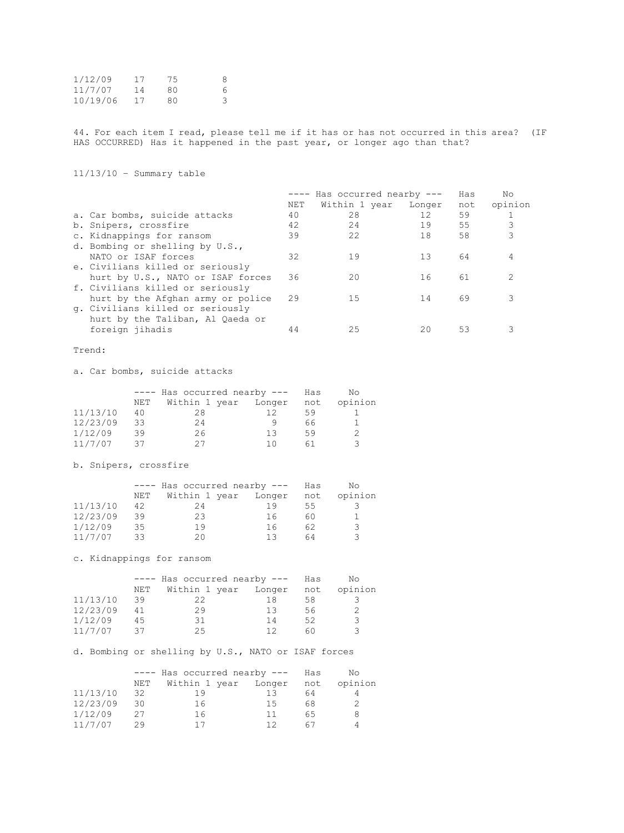| 1/12/09  | 17 | 75 | -8         |
|----------|----|----|------------|
| 11/7/07  | 14 | 80 | $\epsilon$ |
| 10/19/06 | 17 | 80 |            |

44. For each item I read, please tell me if it has or has not occurred in this area? (IF HAS OCCURRED) Has it happened in the past year, or longer ago than that?

11/13/10 – Summary table

|                                   |     | ---- Has occurred nearby --- |                   | Has | Nο      |
|-----------------------------------|-----|------------------------------|-------------------|-----|---------|
|                                   | NET | Within 1 year Longer         |                   | not | opinion |
| a. Car bombs, suicide attacks     | 40  | 28                           | $12 \overline{ }$ | 59  |         |
| b. Snipers, crossfire             | 42  | 24                           | 19                | 55  | 3       |
| c. Kidnappings for ransom         | 39  | 22                           | 18                | 58  | 3       |
| d. Bombing or shelling by U.S.,   |     |                              |                   |     |         |
| NATO or ISAF forces               | 32  | 19                           | 13                | 64  |         |
| e. Civilians killed or seriously  |     |                              |                   |     |         |
| hurt by U.S., NATO or ISAF forces | 36  | 20                           | 16                | 61  |         |
| f. Civilians killed or seriously  |     |                              |                   |     |         |
| hurt by the Afghan army or police | 29  | 15                           | 14                | 69  |         |
| g. Civilians killed or seriously  |     |                              |                   |     |         |
| hurt by the Taliban, Al Qaeda or  |     |                              |                   |     |         |
| foreign jihadis                   | 44  | 25                           | 20                | 53  |         |
|                                   |     |                              |                   |     |         |

Trend:

a. Car bombs, suicide attacks

|          |     | $---$ Has occurred nearby $---$ |        |     | No.     |
|----------|-----|---------------------------------|--------|-----|---------|
|          | NET | Within 1 year                   | Longer | not | opinion |
| 11/13/10 | 40  | 28                              | 12     | 59  |         |
| 12/23/09 | 33  | 24                              |        | 66  |         |
| 1/12/09  | 39  | 26                              | 13     | 59  |         |
| 11/7/07  | 37  |                                 | 1 N    | 61  | ₹       |

b. Snipers, crossfire

|          | $---$ Has occurred nearby $---$ |               |        | Has | Nο      |
|----------|---------------------------------|---------------|--------|-----|---------|
|          | NET                             | Within 1 year | Longer | not | opinion |
| 11/13/10 | 42                              | 24            | 19     | 55  |         |
| 12/23/09 | 39                              | 23            | 16     | 60  |         |
| 1/12/09  | 35                              | 19            | 16     | 62  | २       |
| 11/7/07  | 33                              | 20            | 13     | 64  |         |

c. Kidnappings for ransom

|          | ---- Has occurred nearby --- |                      |    | Has | No.     |
|----------|------------------------------|----------------------|----|-----|---------|
|          | NET                          | Within 1 year Longer |    | not | opinion |
| 11/13/10 | 39                           | 22                   | 18 | 58. |         |
| 12/23/09 | 41                           | 29                   | 13 | 56  |         |
| 1/12/09  | 45                           | 31                   | 14 | 52  | ₹       |
| 11/7/07  | スフ                           | クら                   | 12 | 60  |         |

d. Bombing or shelling by U.S., NATO or ISAF forces

|          | $---$ Has occurred nearby $---$ |               |        | Has | No.     |
|----------|---------------------------------|---------------|--------|-----|---------|
|          | NET                             | Within 1 year | Longer | not | opinion |
| 11/13/10 | 32                              | 19            | 13     | 64  |         |
| 12/23/09 | 30                              | 16            | -1.5   | 68  |         |
| 1/12/09  | 27                              | 16            | 11     | 65  |         |
| 11/7/07  | 29                              |               | 12     | 67  |         |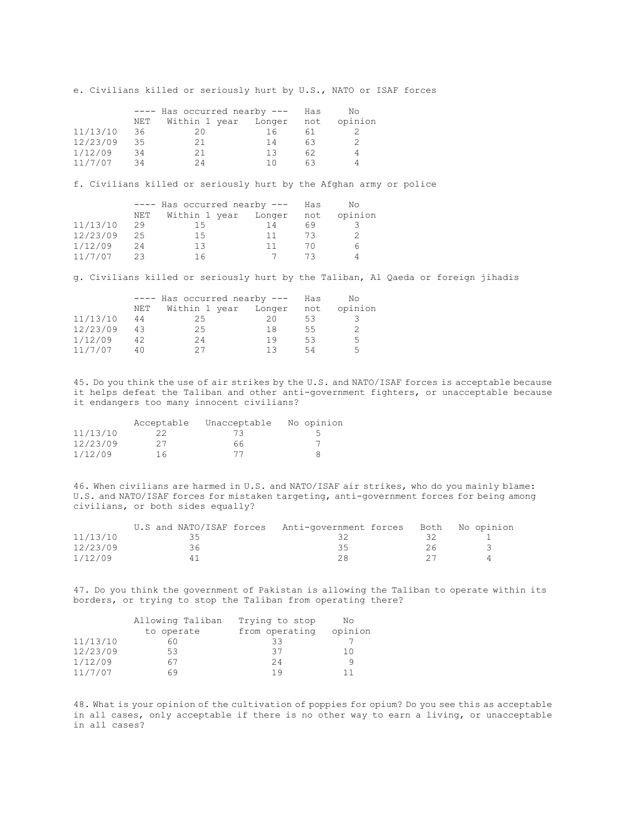e. Civilians killed or seriously hurt by U.S., NATO or ISAF forces

|          | ---- Has occurred nearby --- |               |        | Has | No.     |
|----------|------------------------------|---------------|--------|-----|---------|
|          | NET                          | Within 1 year | Longer | not | opinion |
| 11/13/10 | 36                           | 20            | 16     | 61  |         |
| 12/23/09 | 35                           | 21            | 14     | 63  |         |
| 1/12/09  | 34                           | 21            | 13     | 62  |         |
| 11/7/07  | 34                           | 2Δ            | 1 N    | 63  |         |

f. Civilians killed or seriously hurt by the Afghan army or police

|          | ---- Has occurred nearby --- |                      |      | Has   | No.     |
|----------|------------------------------|----------------------|------|-------|---------|
|          | NET                          | Within 1 year Longer |      | not   | opinion |
| 11/13/10 | 29                           | 15                   | 14   | 69    |         |
| 12/23/09 | 25                           | 1.5                  | -1-1 | 73    |         |
| 1/12/09  | 24                           | 13                   | -1-1 | 70    |         |
| 11/7/07  | ク3                           | 16                   |      | ⊱ ≀ ∵ |         |

g. Civilians killed or seriously hurt by the Taliban, Al Qaeda or foreign jihadis

|          | ---- Has occurred nearby --- |    |                      | Has | Nο      |
|----------|------------------------------|----|----------------------|-----|---------|
|          | NET                          |    | Within 1 year Longer | not | opinion |
| 11/13/10 | 44                           | 25 | 20                   | 53  |         |
| 12/23/09 | 43                           | 25 | 18                   | 55  |         |
| 1/12/09  | 42                           | 24 | 19                   | 53  | 5.      |
| 11/7/07  | 40                           | クワ | 13                   | 54  | 5       |

45. Do you think the use of air strikes by the U.S. and NATO/ISAF forces is acceptable because it helps defeat the Taliban and other anti-government fighters, or unacceptable because it endangers too many innocent civilians?

|          | Acceptable | Unacceptable | No opinion |
|----------|------------|--------------|------------|
| 11/13/10 | 22         | 73           |            |
| 12/23/09 | 27         | 66           |            |
| 1/12/09  | 16         |              |            |

46. When civilians are harmed in U.S. and NATO/ISAF air strikes, who do you mainly blame: U.S. and NATO/ISAF forces for mistaken targeting, anti-government forces for being among civilians, or both sides equally?

|          | U.S and NATO/ISAF forces Anti-government forces Both No opinion |     |  |
|----------|-----------------------------------------------------------------|-----|--|
| 11/13/10 | ہ ج                                                             |     |  |
| 12/23/09 | 36                                                              | २५  |  |
| 1/12/09  |                                                                 | 28. |  |

47. Do you think the government of Pakistan is allowing the Taliban to operate within its borders, or trying to stop the Taliban from operating there?

|          | Allowing Taliban | Trying to stop | No      |
|----------|------------------|----------------|---------|
|          | to operate       | from operating | opinion |
| 11/13/10 | 60               | 33             |         |
| 12/23/09 | 53               | 37             | 10      |
| 1/12/09  | 67               | 24             |         |
| 11/7/07  | 69               | 19             | 11      |

48. What is your opinion of the cultivation of poppies for opium? Do you see this as acceptable in all cases, only acceptable if there is no other way to earn a living, or unacceptable in all cases?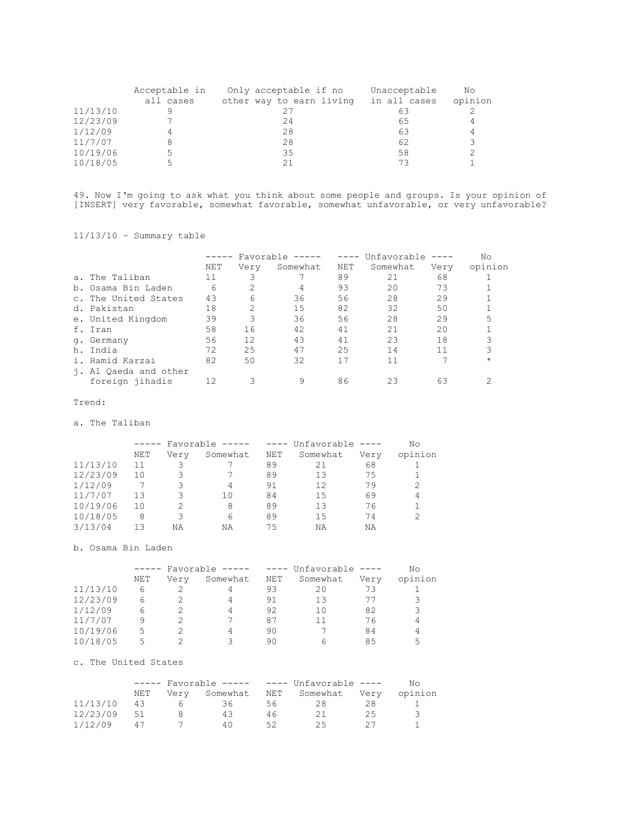|          | Acceptable in | Only acceptable if no    | Unacceptable | No      |
|----------|---------------|--------------------------|--------------|---------|
|          | all cases     | other way to earn living | in all cases | opinion |
| 11/13/10 |               |                          | 63           |         |
| 12/23/09 |               | 24                       | 65           |         |
| 1/12/09  |               | 28                       | 63           |         |
| 11/7/07  |               | 28                       | 62           |         |
| 10/19/06 |               | 35                       | 58           |         |
| 10/18/05 |               |                          | 73           |         |

49. Now I'm going to ask what you think about some people and groups. Is your opinion of [INSERT] very favorable, somewhat favorable, somewhat unfavorable, or very unfavorable?

11/13/10 – Summary table

|                       | ----- | Favorable      | $\qquad \qquad - - - - -$ | $--- - - -$ | Unfavorable |      | No      |
|-----------------------|-------|----------------|---------------------------|-------------|-------------|------|---------|
|                       | NET   | Very           | Somewhat                  | <b>NET</b>  | Somewhat    | Very | opinion |
| a. The Taliban        | 11    |                |                           | 89          | 21          | 68   |         |
| b. Osama Bin Laden    | 6     | 2              | 4                         | 93          | 20          | 73   |         |
| c. The United States  | 43    | 6              | 36                        | 56          | 28          | 29   |         |
| d. Pakistan           | 18    | $\overline{2}$ | 15                        | 82          | 32          | 50   |         |
| e. United Kingdom     | 39    | 3              | 36                        | 56          | 28          | 29   | 5       |
| f. Iran               | 58    | 16             | 42                        | 41          | 21          | 20   |         |
| q. Germany            | 56    | 12             | 43                        | 41          | 23          | 18   |         |
| h. India              | 72    | 25             | 47                        | 25          | 14          | 11   |         |
| i. Hamid Karzai       | 82    | 50             | 32                        | 17          | 11          |      | $\star$ |
| i. Al Qaeda and other |       |                |                           |             |             |      |         |
| foreign jihadis       | 12    | 3              | 9                         | 86          | 23          | 63   |         |

### Trend:

a. The Taliban

|          |     | $- - - - - -$ |          |     | Favorable ----- ---- Unfavorable ---- |      |         |  |
|----------|-----|---------------|----------|-----|---------------------------------------|------|---------|--|
|          | NET | Verv          | Somewhat | NET | Somewhat                              | Very | opinion |  |
| 11/13/10 | 11  |               |          | 89  | 21                                    | 68   |         |  |
| 12/23/09 | 10  |               |          | 89  | 13                                    | 75   |         |  |
| 1/12/09  |     |               |          | 91  | 12                                    | 79   | 2       |  |
| 11/7/07  | 13  |               | 10       | 84  | 1.5                                   | 69   | 4       |  |
| 10/19/06 | 10  |               | 8        | 89  | 13                                    | 76   |         |  |
| 10/18/05 | 8   |               | 6        | 89  | 1.5                                   | 74   |         |  |
| 3/13/04  | 13  | ΝA            | ΝA       | 75  | NA                                    | ΝA   |         |  |

b. Osama Bin Laden

|          | Favorable $-- ---$ Unfavorable $---$<br>$\qquad \qquad - - - - -$ |      |          |     | Νo       |               |         |
|----------|-------------------------------------------------------------------|------|----------|-----|----------|---------------|---------|
|          | NET                                                               | Verv | Somewhat | NET | Somewhat | Very          | opinion |
| 11/13/10 | 6                                                                 |      |          | 93  | 20       | 73            |         |
| 12/23/09 | 6                                                                 |      | 4        | 91  | 13       | $\frac{1}{2}$ | 3       |
| 1/12/09  | 6                                                                 |      |          | 92  | 1 N      | 82            | 3       |
| 11/7/07  | 9                                                                 |      |          | 87  | 11       | 76            | 4       |
| 10/19/06 | 5                                                                 |      |          | 90  |          | 84            | 4       |
| 10/18/05 | 5                                                                 |      | २        | 90  | h        | 85            | 5       |

### c. The United States

|          | $---$ Favorable $-- ---$ Unfavorable $---$ |      |          |    | No.               |    |         |
|----------|--------------------------------------------|------|----------|----|-------------------|----|---------|
|          | NET                                        | Verv | Somewhat |    | NET Somewhat Very |    | opinion |
| 11/13/10 | 43                                         |      | 36.      | 56 | 28                | 28 |         |
| 12/23/09 | 51                                         |      | 43       | 46 |                   | 25 | -3      |
| 1/12/09  | $\Delta$ $\pm$                             |      | 40       | らク | 25.               |    |         |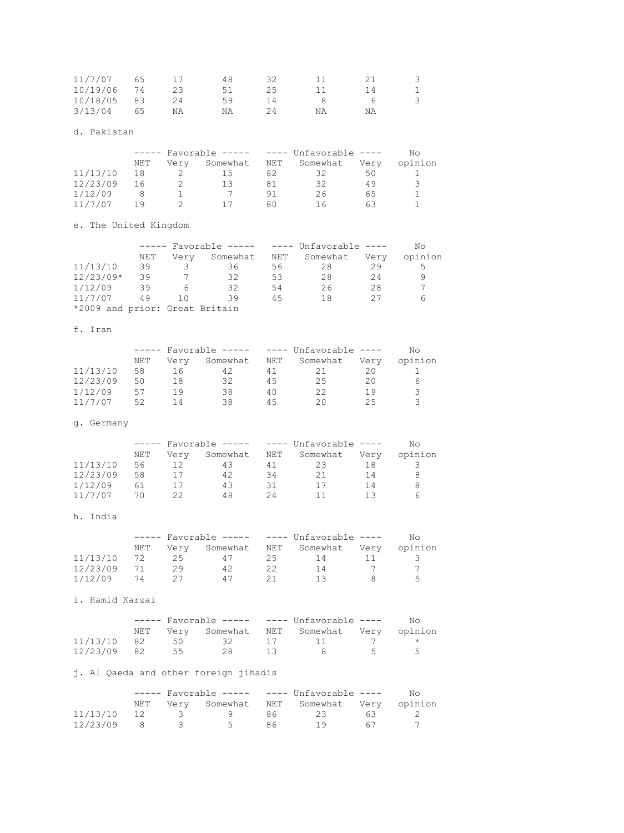| 11/7/07  | 65   |    | 48 |    |    |    |  |
|----------|------|----|----|----|----|----|--|
| 10/19/06 | - 74 |    | 51 | 25 |    | 14 |  |
| 10/18/05 | -83  | 24 | 59 |    |    |    |  |
| 3/13/04  | 65   | ΝA | ΝA |    | ΝA | ΝA |  |

# d. Pakistan

|          | $---$ Favorable $-- ---$ Unfavorable $---$ |      |          |     | N٥       |      |               |
|----------|--------------------------------------------|------|----------|-----|----------|------|---------------|
|          | NET                                        | Verv | Somewhat | NET | Somewhat | Verv | opinion       |
| 11/13/10 | 18                                         |      | 15       | 82  | 32       | 50   |               |
| 12/23/09 | 16                                         |      |          | 81  | 32       | 49   | $\mathcal{L}$ |
| 1/12/09  |                                            |      |          | 91  | 26       | 65   |               |
| 11/7/07  | 1 Q                                        |      |          | 80  | Πh       | 63   |               |

e. The United Kingdom

|                                |     | $---$ Favorable $-- ---$ Unfavorable $---$ |          |     |          |      | Nο      |
|--------------------------------|-----|--------------------------------------------|----------|-----|----------|------|---------|
|                                | NET | Verv                                       | Somewhat | NET | Somewhat | Very | opinion |
| 11/13/10                       | 39  | 3                                          | 36       | 56  | 28       | 29   | 5       |
| $12/23/09*$                    | 39  |                                            | 32       | 53  | 28       | 24   |         |
| 1/12/09                        | 39  |                                            | 32       | 54  | 26       | 28   |         |
| 11/7/07                        | 49  | 1 O                                        | 39       | 45  | 18       | クワ   | 6       |
| *2009 and prior: Great Britain |     |                                            |          |     |          |      |         |

# f. Iran

|          | $---$ Favorable $-- ---$ Unfavorable $---$ |      |          |     |          |      | No.           |
|----------|--------------------------------------------|------|----------|-----|----------|------|---------------|
|          | NET                                        | Verv | Somewhat | NET | Somewhat | Verv | opinion       |
| 11/13/10 | 58                                         | 16   | 42       |     |          | 20   |               |
| 12/23/09 | 50                                         | 18   | 32       | 45  | 25       | 20   | h             |
| 1/12/09  | 57                                         | 1 Q  | 38       | 40  | 22       | 19   | ₹             |
| 11/7/07  | 52                                         |      | 38       | 45  | 20.      | クら   | $\mathcal{L}$ |

# g. Germany

|          | $\qquad \qquad - - - - -$ |      |          | Favorable ----- $---$ Unfavorable ---- |          |      | Nο      |
|----------|---------------------------|------|----------|----------------------------------------|----------|------|---------|
|          | NET                       | Verv | Somewhat | NET                                    | Somewhat | Verv | opinion |
| 11/13/10 | 56                        |      | 43       |                                        | 23       |      |         |
| 12/23/09 | 58                        |      | 42       | 34                                     | 21       | 14   |         |
| 1/12/09  | 61                        |      | 43       | 31                                     | 17       | 14   |         |
| 11/7/07  | 70                        | 22   | 48       | 24                                     |          | 1 3  |         |

# h. India

|          |     | $---$ Favorable $-- ---$ Unfavorable $---$ |          |    |              | NΩ   |         |
|----------|-----|--------------------------------------------|----------|----|--------------|------|---------|
|          | NET | Verv                                       | Somewhat |    | NET Somewhat | Verv | opinion |
| 11/13/10 | 72  | 25.                                        | 47       | 25 |              |      |         |
| 12/23/09 |     | つ9                                         | 42       |    | 1 4          |      |         |
| 1/12/09  | 74  |                                            | 4 T      |    |              |      | Б.      |

# i. Hamid Karzai

|             |    | $---$ Favorable $-- ---$ Unfavorable $---$ |  |                                             |          | No. |
|-------------|----|--------------------------------------------|--|---------------------------------------------|----------|-----|
|             |    |                                            |  | NET Very Somewhat NET Somewhat Very opinion |          |     |
| 11/13/10 82 | 50 |                                            |  | 32 17 11                                    |          |     |
| 12/23/09 82 | 55 | - 28 -                                     |  |                                             | $\sim$ 5 | -5  |

# j. Al Qaeda and other foreign jihadis

|             |     | $---$ Favorable $-- ---$ Unfavorable $---$ |     |                                             | NΩ  |  |
|-------------|-----|--------------------------------------------|-----|---------------------------------------------|-----|--|
|             |     |                                            |     | NET Very Somewhat NET Somewhat Very opinion |     |  |
| 11/13/10 12 | - 3 |                                            | 86. | - 23 -                                      | 6 R |  |
| 12/23/09 8  |     | $\sim$ 5                                   | 86  |                                             | 67  |  |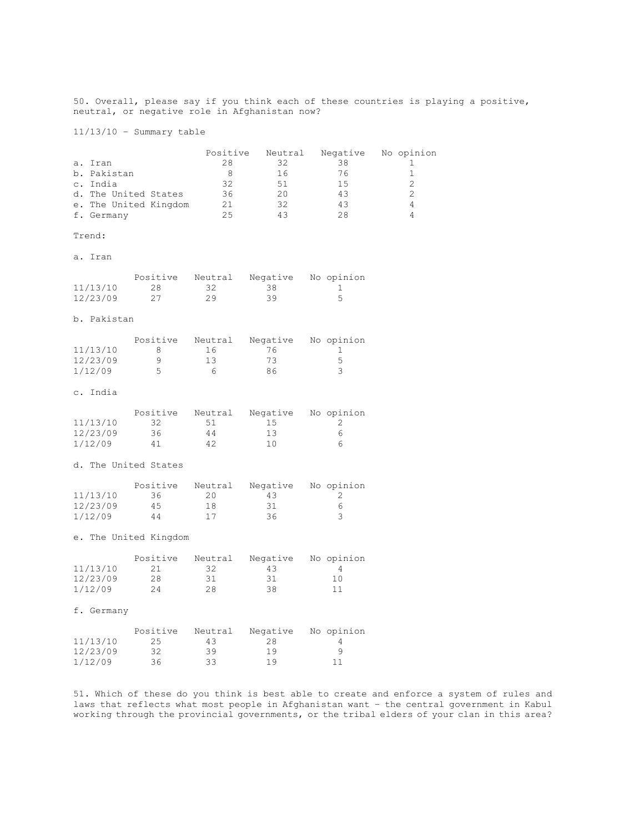50. Overall, please say if you think each of these countries is playing a positive, neutral, or negative role in Afghanistan now?

11/13/10 – Summary table

|                       | Positive | Neutral | Negative | No opinion |
|-----------------------|----------|---------|----------|------------|
| a. Iran               | 28       | 32      | 38       |            |
| b. Pakistan           |          | 16      | 76       |            |
| c. India              | 32       | .51     | 1.5      |            |
| d. The United States  | 36       | 20      | 43       |            |
| e. The United Kingdom | 21       | 32      | 43       |            |
| f. Germany            | クち       | 43      | 28       |            |

#### Trend:

a. Iran

|          | Positive | Neutral | Negative | No opinion |
|----------|----------|---------|----------|------------|
| 11/13/10 | 28       |         | - 38     |            |
| 12/23/09 |          | 29      | 39       |            |

### b. Pakistan

|          | Positive | Neutral | Negative | No opinion |
|----------|----------|---------|----------|------------|
| 11/13/10 | ×        | 16      | 76.      |            |
| 12/23/09 |          | 13      | 73       |            |
| 1/12/09  |          | h       | 86       |            |

### c. India

|          | Positive | Neutral | Negative | No opinion |
|----------|----------|---------|----------|------------|
| 11/13/10 | -32.     | 51      | 1.5      |            |
| 12/23/09 | 36.      | 44      | 13       |            |
| 1/12/09  | 41       | 42      | 10       |            |

#### d. The United States

|          | Positive | Neutral | Negative | No opinion |
|----------|----------|---------|----------|------------|
| 11/13/10 | 36.      | 20      | 43       |            |
| 12/23/09 | 4.5      | 18      | -31      |            |
| 1/12/09  | 44       |         | 36.      |            |

### e. The United Kingdom

|          | Positive | Neutral | Negative | No opinion |
|----------|----------|---------|----------|------------|
| 11/13/10 |          | 32      | 43       |            |
| 12/23/09 | 28       | 31      | 31       | 1 O        |
| 1/12/09  | 24.      | 28.     | 38       |            |

#### f. Germany

|          | Positive | Neutral | Negative | No opinion |
|----------|----------|---------|----------|------------|
| 11/13/10 | 25.      | 43.     | 28       |            |
| 12/23/09 | 32.      | 39      | 19       |            |
| 1/12/09  | 36.      | 33.     | 19       | 11         |

51. Which of these do you think is best able to create and enforce a system of rules and laws that reflects what most people in Afghanistan want – the central government in Kabul working through the provincial governments, or the tribal elders of your clan in this area?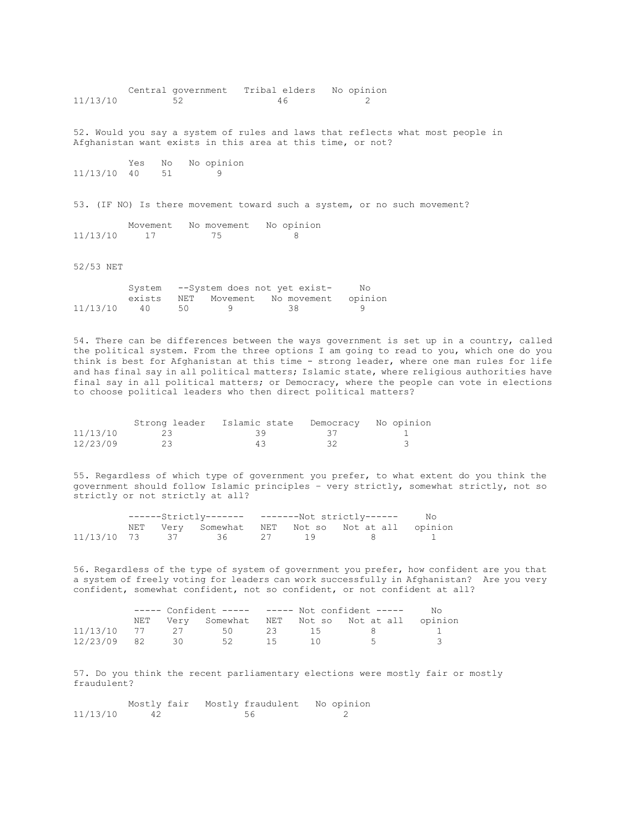Central government Tribal elders No opinion<br>11/13/10 52 46 2  $46$  2 52. Would you say a system of rules and laws that reflects what most people in Afghanistan want exists in this area at this time, or not? Yes No No opinion 11/13/10 40 51 9 53. (IF NO) Is there movement toward such a system, or no such movement? Movement No movement No opinion 11/13/10 17 75 8

52/53 NET

|          |        |    |                                                                                                                | System --System does not yet exist- | No |
|----------|--------|----|----------------------------------------------------------------------------------------------------------------|-------------------------------------|----|
|          | exists |    |                                                                                                                | NET Movement No-movement opinion    |    |
| 11/13/10 | 40     | 50 | a que de la contradición de la contradición de la contradición de la contradición de la contradición de la con | 38 38                               |    |

54. There can be differences between the ways government is set up in a country, called the political system. From the three options I am going to read to you, which one do you think is best for Afghanistan at this time - strong leader, where one man rules for life and has final say in all political matters; Islamic state, where religious authorities have final say in all political matters; or Democracy, where the people can vote in elections to choose political leaders who then direct political matters?

|          |    | Strong leader - Islamic state |              | Democracy No opinion |
|----------|----|-------------------------------|--------------|----------------------|
| 11/13/10 | 23 | - 34                          | $\mathbf{A}$ |                      |
| 12/23/09 | 23 | 43                            | - 32         |                      |

55. Regardless of which type of government you prefer, to what extent do you think the government should follow Islamic principles – very strictly, somewhat strictly, not so strictly or not strictly at all?

|  |  |                         |  | - No                                            |  |
|--|--|-------------------------|--|-------------------------------------------------|--|
|  |  |                         |  | NET Very Somewhat NET Not so Not at all opinion |  |
|  |  | 11/13/10 73 37 36 27 19 |  | - 8                                             |  |

56. Regardless of the type of system of government you prefer, how confident are you that a system of freely voting for leaders can work successfully in Afghanistan? Are you very confident, somewhat confident, not so confident, or not confident at all?

|             | $---$ Confident $-- ---$ Not confident $---$ |                         |    |  |  |                                                 | Nο |
|-------------|----------------------------------------------|-------------------------|----|--|--|-------------------------------------------------|----|
|             |                                              |                         |    |  |  | NET Very Somewhat NET Not so Not at all opinion |    |
|             |                                              | 11/13/10 77 27 50 23 15 |    |  |  |                                                 |    |
| 12/23/09 82 | 30                                           | 52                      | 15 |  |  |                                                 |    |

57. Do you think the recent parliamentary elections were mostly fair or mostly fraudulent?

|          |    |  | Mostly fair Mostly fraudulent No opinion |
|----------|----|--|------------------------------------------|
| 11/13/10 | 42 |  |                                          |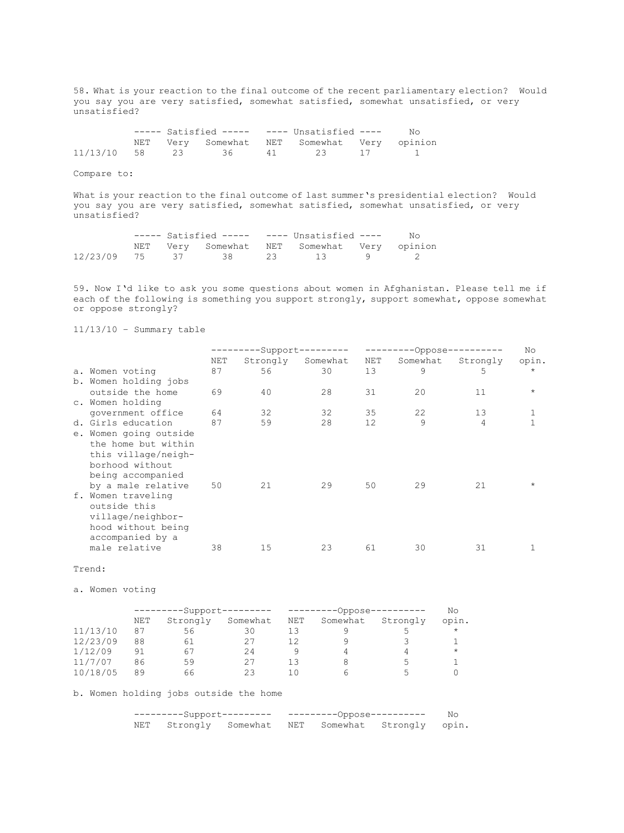58. What is your reaction to the final outcome of the recent parliamentary election? Would you say you are very satisfied, somewhat satisfied, somewhat unsatisfied, or very unsatisfied?

|  |                                             | ----- Satisfied ----- ---- Unsatisfied ---- |  | No |
|--|---------------------------------------------|---------------------------------------------|--|----|
|  | NET Very Somewhat NET Somewhat Very opinion |                                             |  |    |
|  | 11/13/10 58 23 36                           | 41 23 17 1                                  |  |    |

Compare to:

What is your reaction to the final outcome of last summer's presidential election? Would you say you are very satisfied, somewhat satisfied, somewhat unsatisfied, or very unsatisfied?

|  |  | $---$ Satisfied $-- ---$ Unsatisfied $---$  | N∩ |
|--|--|---------------------------------------------|----|
|  |  | NET Very Somewhat NET Somewhat Very opinion |    |
|  |  | $12/23/09$ 75 37 38 23 13 9 2               |    |

59. Now I'd like to ask you some questions about women in Afghanistan. Please tell me if each of the following is something you support strongly, support somewhat, oppose somewhat or oppose strongly?

11/13/10 – Summary table

|                        |     |          | $-Support------$ |     | No.      |          |         |
|------------------------|-----|----------|------------------|-----|----------|----------|---------|
|                        | NET | Strongly | Somewhat         | NET | Somewhat | Strongly | opin.   |
| a. Women voting        | 87  | 56       | 30               | 13  | 9        | 5        | $\star$ |
| b. Women holding jobs  |     |          |                  |     |          |          |         |
| outside the home       | 69  | 40       | 28               | 31  | 20       | 11       |         |
| c. Women holding       |     |          |                  |     |          |          |         |
| government office      | 64  | 32       | 32               | 35  | 22       | 13       |         |
| d. Girls education     | 87  | 59       | 28               | 12  | 9        | 4        |         |
| e. Women going outside |     |          |                  |     |          |          |         |
| the home but within    |     |          |                  |     |          |          |         |
| this village/neigh-    |     |          |                  |     |          |          |         |
| borhood without        |     |          |                  |     |          |          |         |
| being accompanied      |     |          |                  |     |          |          |         |
| by a male relative     | 50  | 21       | 29               | 50  | 29       | 21       |         |
| f. Women traveling     |     |          |                  |     |          |          |         |
| outside this           |     |          |                  |     |          |          |         |
| village/neighbor-      |     |          |                  |     |          |          |         |
| hood without being     |     |          |                  |     |          |          |         |
| accompanied by a       |     |          |                  |     |          |          |         |
| male relative          | 38  | 15       | 23               | 61  | 30       | 31       |         |
|                        |     |          |                  |     |          |          |         |

#### Trend:

a. Women voting

|          |     | -------Support--------- |          |     | ------Oppose- |          |         |  |
|----------|-----|-------------------------|----------|-----|---------------|----------|---------|--|
|          | NET | Strongly                | Somewhat | NET | Somewhat      | Strongly | opin.   |  |
| 11/13/10 | 87  | 56                      | 30       | 13  |               |          | $\star$ |  |
| 12/23/09 | 88  | 61                      |          |     |               |          |         |  |
| 1/12/09  | 91  | 67                      | 24       |     |               |          | $\star$ |  |
| 11/7/07  | 86  | 59                      | 27       | 13  |               | 5        |         |  |
| 10/18/05 | 89  | 66                      | 23       |     |               |          |         |  |

### b. Women holding jobs outside the home

| NET Strongly Somewhat NET Somewhat Strongly opin. |  |  |  |  |  |  |
|---------------------------------------------------|--|--|--|--|--|--|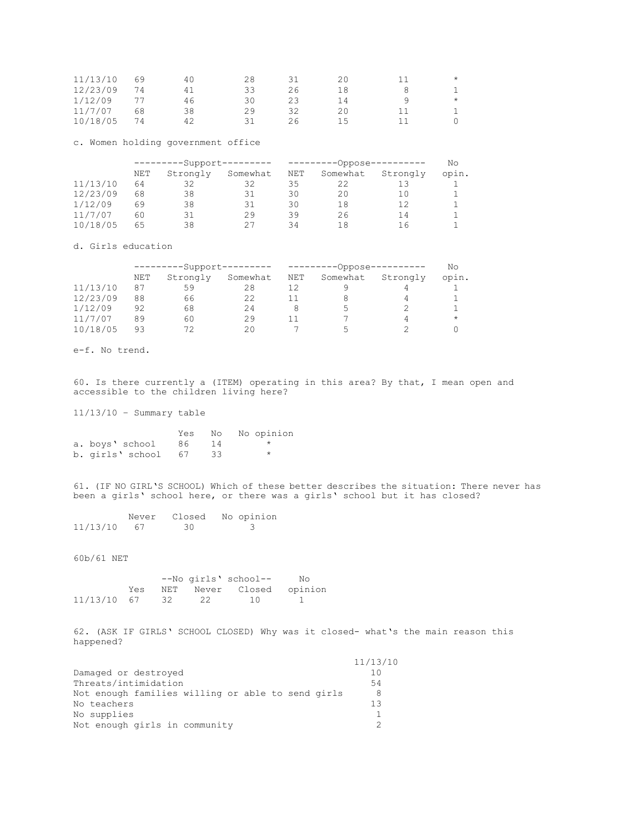| 11/13/10 | 69 | 40 | 28 |    | 20  | $\star$ |
|----------|----|----|----|----|-----|---------|
| 12/23/09 | 74 | 41 | 33 | 26 | 18  |         |
| 1/12/09  |    | 46 | 30 |    | L 4 | $\star$ |
| 11/7/07  | 68 | 38 | 29 | 32 |     |         |
| 10/18/05 | 74 | 42 |    | 26 | 15  |         |

c. Women holding government office

|          | ---------Support--------- |          |          | ----------Oppose---------- | Νo       |          |       |
|----------|---------------------------|----------|----------|----------------------------|----------|----------|-------|
|          | NET                       | Strongly | Somewhat | NET                        | Somewhat | Strongly | opin. |
| 11/13/10 | 64                        | 32       | 32       | 35                         | 22       |          |       |
| 12/23/09 | 68                        | 38       | 31       | 30                         | 20       | 10       |       |
| 1/12/09  | 69                        | 38       | 31       | 30                         | 18       | 12       |       |
| 11/7/07  | 60                        | 31       | 29       | 39                         | 26       | 14       |       |
| 10/18/05 | 65                        | 38       | 27       | 34                         | 18       | 16       |       |

d. Girls education

|          |     | -------Support--------- |          |     | --------Oppose-          |          |            |  |
|----------|-----|-------------------------|----------|-----|--------------------------|----------|------------|--|
|          | NET | Strongly                | Somewhat | NET | Somewhat                 | Strongly | opin.      |  |
| 11/13/10 | 87  | 59                      | 28       |     |                          |          |            |  |
| 12/23/09 | 88  | 66                      | 22       |     |                          |          |            |  |
| 1/12/09  | 92  | 68                      | 24       |     |                          |          |            |  |
| 11/7/07  | 89  | 60                      | 29       |     |                          |          | $^{\star}$ |  |
| 10/18/05 | 93  |                         | $20 \,$  |     | $\overline{\phantom{a}}$ |          |            |  |

e-f. No trend.

60. Is there currently a (ITEM) operating in this area? By that, I mean open and accessible to the children living here?

11/13/10 – Summary table

|                  | Yes  |    | No No opinion |
|------------------|------|----|---------------|
| a. boys' school  | 86   | 14 |               |
| b. girls' school | - 67 |    |               |

61. (IF NO GIRL'S SCHOOL) Which of these better describes the situation: There never has been a girls' school here, or there was a girls' school but it has closed?

|          | Never | Closed | No opinion |
|----------|-------|--------|------------|
| 11/13/10 | - 67  | -30    |            |

60b/61 NET

|             |     |    |    | --No girls' school--     | No |
|-------------|-----|----|----|--------------------------|----|
|             | Yes |    |    | NET Never Closed opinion |    |
| 11/13/10 67 |     | 32 | 22 | 10                       |    |

62. (ASK IF GIRLS' SCHOOL CLOSED) Why was it closed- what's the main reason this happened?

|                                                   | 11/13/10 |
|---------------------------------------------------|----------|
| Damaged or destroyed                              | 10       |
| Threats/intimidation                              | 54       |
| Not enough families willing or able to send girls | 8        |
| No teachers                                       | 13       |
| No supplies                                       |          |
| Not enough girls in community                     |          |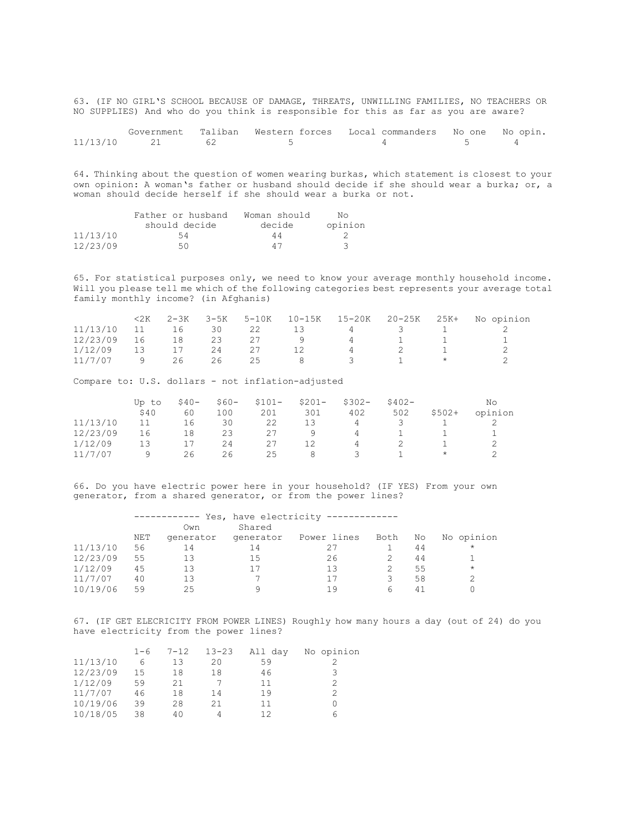63. (IF NO GIRL'S SCHOOL BECAUSE OF DAMAGE, THREATS, UNWILLING FAMILIES, NO TEACHERS OR NO SUPPLIES) And who do you think is responsible for this as far as you are aware?

|             |  | Government Taliban Western forces Local commanders No one No opin. |  |
|-------------|--|--------------------------------------------------------------------|--|
| 11/13/10 21 |  |                                                                    |  |

64. Thinking about the question of women wearing burkas, which statement is closest to your own opinion: A woman's father or husband should decide if she should wear a burka; or, a woman should decide herself if she should wear a burka or not.

|          | Father or husband | Woman should | N٥      |
|----------|-------------------|--------------|---------|
|          | should decide     | decide       | opinion |
| 11/13/10 | 54                | 44           |         |
| 12/23/09 | 50.               | 47           |         |

65. For statistical purposes only, we need to know your average monthly household income. Will you please tell me which of the following categories best represents your average total family monthly income? (in Afghanis)

|          | 2K | $2 - 3K$ | 3-5K |    | 5-10K 10-15K | 15-20K         | 20-25K | 25K+ | No opinion |
|----------|----|----------|------|----|--------------|----------------|--------|------|------------|
| 11/13/10 | 11 | 16       | 30   | 22 | 13 -         | 4              |        |      |            |
| 12/23/09 | 16 | 18       | 23   |    |              | $\Delta$       |        |      |            |
| 1/12/09  | 13 |          | 24   | 27 | 12           | $\overline{4}$ |        |      |            |
| 11/7/07  |    | 26       | 26   | 25 |              |                |        |      |            |

Compare to: U.S. dollars - not inflation-adjusted

|          | Up to | $$40-$ | $$60-$ | $$101-$ | $$201-$ | $$302-$ | $$402-$      |         | Νo      |
|----------|-------|--------|--------|---------|---------|---------|--------------|---------|---------|
|          | \$40  | 60     | 100    | 201     | 301     | 402     | 502          | $$502+$ | opinion |
| 11/13/10 |       | 16     | 30     | 22      | 13      | 4       | $\prec$      |         |         |
| 12/23/09 | 16    | 18     | 23     | 27      | ч       | 4       | $\mathbf{1}$ |         |         |
| 1/12/09  | 13    |        | 24     | 27      |         | 4       | 2            |         |         |
|          | ч     | 26     | ント     | 25      | 8       |         |              | $\star$ |         |

66. Do you have electric power here in your household? (IF YES) From your own generator, from a shared generator, or from the power lines?

|          |     |           | Yes, have electricity ------------- |             |      |    |            |
|----------|-----|-----------|-------------------------------------|-------------|------|----|------------|
|          |     | Own       | Shared                              |             |      |    |            |
|          | NET | generator | generator                           | Power lines | Both | No | No opinion |
| 11/13/10 | 56  | 14        | 14                                  | 27          |      | 44 | $\star$    |
| 12/23/09 | 55  | 13        | 15                                  | 26          |      | 44 |            |
| 1/12/09  | 45  | 13        | 17                                  | 13          |      | 55 | $\star$    |
| 11/7/07  | 40  | 13        |                                     | 17          |      | 58 | っ          |
| 10/19/06 | 59  | クら        |                                     | 1 Q         | h    | 41 |            |

67. (IF GET ELECRICITY FROM POWER LINES) Roughly how many hours a day (out of 24) do you have electricity from the power lines?

|          | $1 - 6$ | $7 - 12$ | $13 - 23$ | All day | No opinion |
|----------|---------|----------|-----------|---------|------------|
| 11/13/10 | 6       | 13       | 20        | 59      |            |
| 12/23/09 | 15      | 18       | 18        | 46      |            |
| 1/12/09  | 59      | 21       |           | 11      |            |
| 11/7/07  | 46      | 18       | 14        | 19      |            |
| 10/19/06 | 39      | 28       | 21        | 11      |            |
| 10/18/05 | 38      | 40       |           | 12      |            |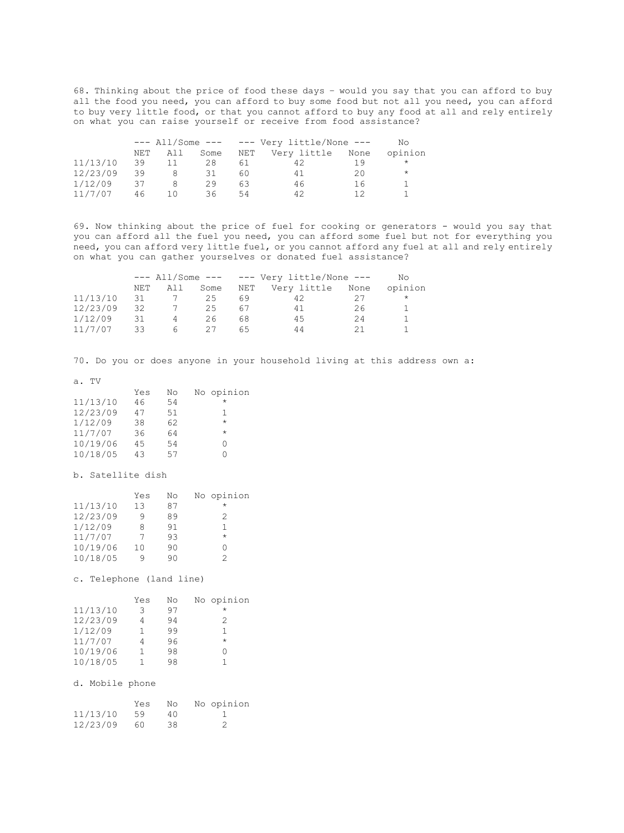68. Thinking about the price of food these days – would you say that you can afford to buy all the food you need, you can afford to buy some food but not all you need, you can afford to buy very little food, or that you cannot afford to buy any food at all and rely entirely on what you can raise yourself or receive from food assistance?

|          | $---$ All/Some --- $---$ Very little/None --- |     |      |     |                  |    | No.     |  |
|----------|-----------------------------------------------|-----|------|-----|------------------|----|---------|--|
|          | NET                                           | All | Some | NET | Very little None |    | opinion |  |
| 11/13/10 | 39                                            |     | 28   | 61  | 42               |    | $\star$ |  |
| 12/23/09 | 39                                            | 8   | 31   | 60. | 41               | 20 | $\star$ |  |
| 1/12/09  | スフ                                            |     | 29   | 63  | 46               | 16 |         |  |
| 11/7/07  | 46                                            | 10  | 36   | 54  | 42               |    |         |  |

69. Now thinking about the price of fuel for cooking or generators - would you say that you can afford all the fuel you need, you can afford some fuel but not for everything you need, you can afford very little fuel, or you cannot afford any fuel at all and rely entirely on what you can gather yourselves or donated fuel assistance?

|          | $---$ All/Some --- $---$ Very little/None --- |     |      |     |                  |    | Nο      |
|----------|-----------------------------------------------|-----|------|-----|------------------|----|---------|
|          | NET                                           | All | Some | NET | Very little None |    | opinion |
| 11/13/10 | 31                                            |     | 25   | 69  | 42               |    | $\star$ |
| 12/23/09 | 32                                            |     | 25   | 67  | 41               | 26 |         |
| 1/12/09  | 31                                            | Δ   | 26   | 68  | 45               | 24 |         |
| 11/7/07  | -33                                           | h   |      | 65. | 44               | 21 |         |

70. Do you or does anyone in your household living at this address own a:

a. TV

|          | Yes | No | No opinion |
|----------|-----|----|------------|
| 11/13/10 | 46  | 54 | $\star$    |
| 12/23/09 | 47  | 51 | 1          |
| 1/12/09  | 38  | 62 | $\star$    |
| 11/7/07  | 36  | 64 | $\star$    |
| 10/19/06 | 45  | 54 | Ω          |
| 10/18/05 | 43  | 57 |            |

b. Satellite dish

|          | Yes | No | No opinion |
|----------|-----|----|------------|
| 11/13/10 | 13  | 87 | $\star$    |
| 12/23/09 | 9   | 89 | 2          |
| 1/12/09  | 8   | 91 |            |
| 11/7/07  | 7   | 93 | $\star$    |
| 10/19/06 | 10  | 90 |            |
| 10/18/05 | q   | ۹0 | 2          |

c. Telephone (land line)

|          | Yes | No | No opinion |
|----------|-----|----|------------|
| 11/13/10 | २   | 97 | $^\star$   |
| 12/23/09 |     | 94 | 2          |
| 1/12/09  | 1   | 99 | 1          |
| 11/7/07  |     | 96 | $\star$    |
| 10/19/06 |     | 98 |            |
| 10/18/05 |     | 98 |            |

d. Mobile phone

|          | Yes | No  | No opinion |
|----------|-----|-----|------------|
| 11/13/10 | 59  | 4 N |            |
| 12/23/09 | 60  | 38  | - 2        |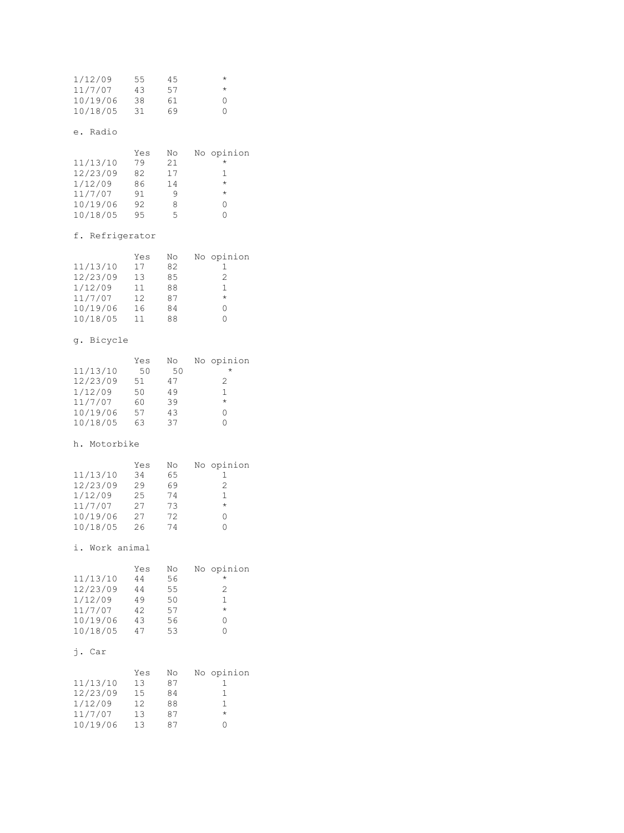| 1/12/09  | 55 | 45 | $^\star$    |
|----------|----|----|-------------|
| 11/7/07  | 43 | 57 | $^\star$    |
| 10/19/06 | 38 | 61 | ∩           |
| 10/18/05 | 31 | 69 | $^{\prime}$ |

# e. Radio

|          | Yes | No | No opinion |
|----------|-----|----|------------|
| 11/13/10 | 79  | 21 | $^\star$   |
| 12/23/09 | 82  | 17 |            |
| 1/12/09  | 86  | 14 | $^{\star}$ |
| 11/7/07  | 91  |    | $\star$    |
| 10/19/06 | 92  | 8  |            |
| 10/18/05 | 95  | 5  |            |

# f. Refrigerator

|          | Yes | No | No opinion |
|----------|-----|----|------------|
| 11/13/10 | 17  | 82 |            |
| 12/23/09 | 13  | 85 | 2          |
| 1/12/09  | 11  | 88 |            |
| 11/7/07  | 12  | 87 | $\star$    |
| 10/19/06 | 16  | 84 |            |
| 10/18/05 | 11  | 88 |            |

# g. Bicycle

|          | Yes | No | No opinion |
|----------|-----|----|------------|
| 11/13/10 | 50  | 50 | $^{\star}$ |
| 12/23/09 | 51  | 47 | 2          |
| 1/12/09  | 50  | 49 | 1          |
| 11/7/07  | 60  | 39 | $\star$    |
| 10/19/06 | 57  | 43 |            |
| 10/18/05 | 63  | 37 |            |

# h. Motorbike

|          | Yes | No | No opinion       |
|----------|-----|----|------------------|
| 11/13/10 | 34  | 65 |                  |
| 12/23/09 | 29  | 69 | 2                |
| 1/12/09  | 25  | 74 |                  |
| 11/7/07  | 27  | 73 | $\star$          |
| 10/19/06 | 27  | 72 | $\left( \right)$ |
| 10/18/05 | 26  | 74 |                  |

# i. Work animal

|          | Yes | No | No opinion |
|----------|-----|----|------------|
| 11/13/10 | 44  | 56 | $\star$    |
| 12/23/09 | 44  | 55 | 2          |
| 1/12/09  | 49  | 50 | 1          |
| 11/7/07  | 42  | 57 | $\star$    |
| 10/19/06 | 43  | 56 | $\cap$     |
| 10/18/05 | 47  | 53 |            |

# j. Car

|          | Yes | No | No opinion |
|----------|-----|----|------------|
| 11/13/10 | 13  | 87 |            |
| 12/23/09 | 15  | 84 |            |
| 1/12/09  | 12  | 88 |            |
| 11/7/07  | 13  | 87 | $\star$    |
| 10/19/06 | 13  | 87 |            |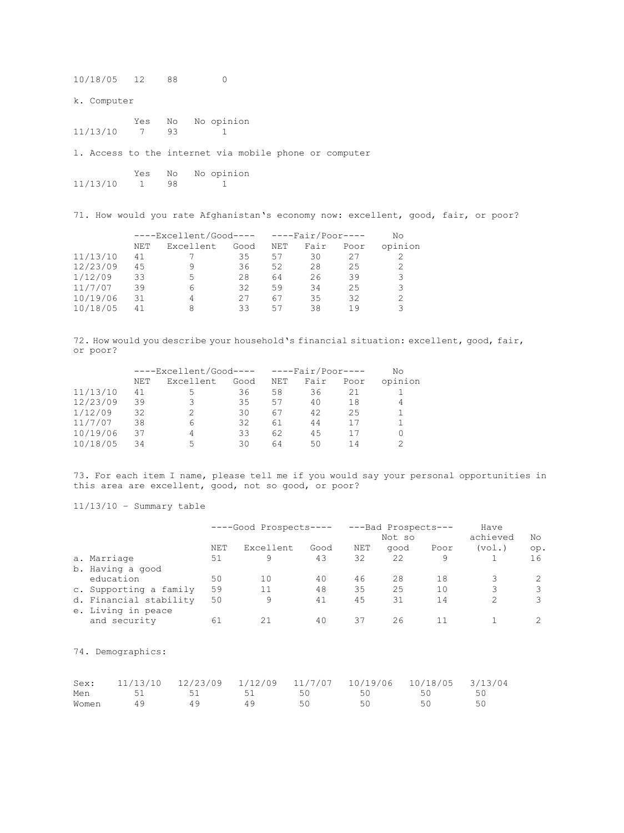10/18/05 12 88 0

k. Computer

Yes No No opinion<br>7 93 1 11/13/10 7 93 1

l. Access to the internet via mobile phone or computer

|          | Yes | No | No opinion |
|----------|-----|----|------------|
| 11/13/10 |     | 98 |            |

71. How would you rate Afghanistan's economy now: excellent, good, fair, or poor?

|          | $---ExceptionCood--- - --FairPoor---$ |           |      |     |      | Nο   |         |
|----------|---------------------------------------|-----------|------|-----|------|------|---------|
|          | NET                                   | Excellent | Good | NET | Fair | Poor | opinion |
| 11/13/10 | 41                                    |           | 35   | 57  | 30   | 27   |         |
| 12/23/09 | 45                                    |           | 36   | 52  | 28   | 25   | 2       |
| 1/12/09  | 33                                    | 5         | 28   | 64  | 26   | 39   | 3       |
| 11/7/07  | 39                                    | h         | 32   | 59  | 34   | 25   | 3       |
| 10/19/06 | 31                                    |           | 27   | 67  | 35   | 32   | 2       |
| 10/18/05 | 41                                    |           | ろろ   | 57  | 38   | 1 9  | っ       |

72. How would you describe your household's financial situation: excellent, good, fair, or poor?

|          | $---ExceptionCood--- - --FairPoor---$ |           |      |     |      | Nο   |         |
|----------|---------------------------------------|-----------|------|-----|------|------|---------|
|          | NET                                   | Excellent | Good | NET | Fair | Poor | opinion |
| 11/13/10 | 41                                    | ∽         | 36   | 58  | 36   | 21   |         |
| 12/23/09 | 39                                    |           | 35   | 57  | 40   | 18   | 4       |
| 1/12/09  | 32                                    |           | 30   | 67  | 42   | 25   |         |
| 11/7/07  | 38                                    | h         | 32   | 61  | 44   |      |         |
| 10/19/06 | 37                                    | 4         | 33   | 62  | 45   |      | 0       |
| 10/18/05 | 34                                    | ↳         | 30   | 64  | 50   | 14   |         |

73. For each item I name, please tell me if you would say your personal opportunities in this area are excellent, good, not so good, or poor?

11/13/10 – Summary table

|                                              | ----Good Prospects---- |           |      | ---Bad Prospects---<br>Not so | Have<br>achieved | No   |        |     |
|----------------------------------------------|------------------------|-----------|------|-------------------------------|------------------|------|--------|-----|
|                                              | <b>NET</b>             | Excellent | Good | NET                           | good             | Poor | (vol.) | op. |
| a. Marriage                                  | 51                     | 9         | 43   | 32                            | 22               | 9    |        | 16  |
| b. Having a good                             |                        |           |      |                               |                  |      |        |     |
| education                                    | 50                     | 10        | 40   | 46                            | 28               | 18   | 3      |     |
| c. Supporting a family                       | 59                     | 11        | 48   | 35                            | 25               | 10   | 3      | 3   |
| d. Financial stability<br>e. Living in peace | 50                     | 9         | 41   | 45                            | 31               | 14   | 2      | 3   |
| and security                                 | 61                     | 21        | 40   | 37                            | 26               |      |        |     |

74. Demographics:

| Sex:  | $11/13/10$ $12/23/09$ $1/12/09$ $11/7/07$ $10/19/06$ $10/18/05$ $3/13/04$ |      |                  |     |  |
|-------|---------------------------------------------------------------------------|------|------------------|-----|--|
| Men   |                                                                           | - 50 | 50               | 50. |  |
| Women |                                                                           | 50   | $\mathcal{L}$ () | 50  |  |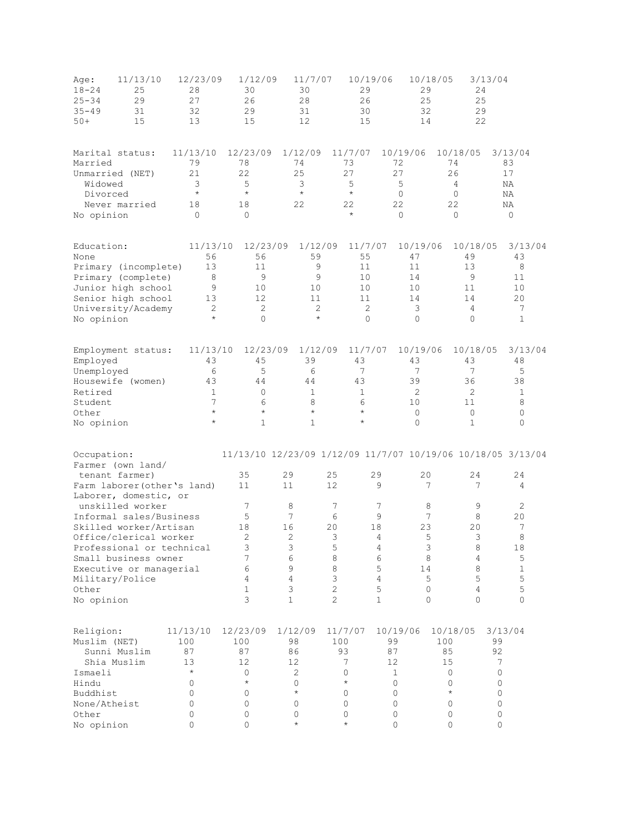| 11/13/10<br>Age:<br>$18 - 24$<br>25<br>29<br>$25 - 34$<br>$35 - 49$<br>31<br>15<br>$50+$                                                                                                                                                           | 12/23/09<br>28<br>27<br>32<br>13                                                     | 1/12/09<br>30<br>26<br>29<br>15                                        | 11/7/07<br>30<br>28<br>31<br>12                                                    | 29<br>26<br>30<br>15                                                              | 10/19/06                                                               | 10/18/05<br>3/13/04<br>29<br>24<br>25<br>25<br>32<br>29<br>22<br>14                                               |                                                                              |
|----------------------------------------------------------------------------------------------------------------------------------------------------------------------------------------------------------------------------------------------------|--------------------------------------------------------------------------------------|------------------------------------------------------------------------|------------------------------------------------------------------------------------|-----------------------------------------------------------------------------------|------------------------------------------------------------------------|-------------------------------------------------------------------------------------------------------------------|------------------------------------------------------------------------------|
| Marital status:<br>Married<br>Unmarried (NET)<br>Widowed<br>Divorced<br>Never married<br>No opinion                                                                                                                                                | 11/13/10<br>79<br>21<br>3<br>$\star$<br>18<br>$\Omega$                               | 12/23/09<br>78<br>22<br>5<br>$\star$<br>18<br>$\Omega$                 | 1/12/09<br>74<br>25<br>3<br>$\star$<br>22                                          | 11/7/07<br>73<br>27<br>5<br>$\star$<br>22<br>$\star$                              | 10/19/06<br>72<br>27<br>5<br>$\circ$<br>22<br>$\Omega$                 | 10/18/05<br>74<br>26<br>4<br>$\circ$<br>22<br>$\Omega$                                                            | 3/13/04<br>83<br>17<br>ΝA<br><b>NA</b><br>ΝA<br>$\circ$                      |
| Education:<br>None<br>Primary (incomplete)<br>Primary (complete)<br>Junior high school<br>Senior high school<br>University/Academy<br>No opinion                                                                                                   | 11/13/10<br>56<br>13<br>8<br>9<br>13<br>$\mathbf{2}$<br>$\star$                      | 12/23/09<br>56<br>11<br>9<br>10<br>12<br>$\sqrt{2}$<br>$\Omega$        | 1/12/09<br>59<br>9<br>9<br>10<br>11<br>$\overline{c}$<br>$\star$                   | 11/7/07<br>55<br>11<br>10<br>10<br>11<br>$\sqrt{2}$<br>$\Omega$                   | 10/19/06<br>47<br>11<br>14<br>10<br>14<br>3<br>$\Omega$                | 10/18/05<br>49<br>13<br>9<br>11<br>14<br>4<br>$\Omega$                                                            | 3/13/04<br>43<br>8<br>11<br>10<br>20<br>7<br>$\mathbf{1}$                    |
| Employment status:<br>Employed<br>Unemployed<br>Housewife (women)<br>Retired<br>Student<br>Other<br>No opinion                                                                                                                                     | 11/13/10<br>43<br>6<br>43<br>$\mathbf{1}$<br>$\overline{7}$<br>$\star$<br>$\star$    | 12/23/09<br>45<br>5<br>44<br>$\circ$<br>6<br>$\star$<br>$\mathbf{1}$   | 1/12/09<br>39<br>6<br>44<br>$\mathbf{1}$<br>8<br>$\star$<br>$\mathbf{1}$           | 11/7/07<br>43<br>7<br>43<br>$\mathbf{1}$<br>6<br>$^{\star}$<br>$\star$            | 10/19/06<br>43<br>7<br>39<br>2<br>10<br>$\circ$<br>$\overline{0}$      | 10/18/05<br>43<br>7<br>36<br>2<br>11<br>$\mathbf 0$<br>$\mathbf{1}$                                               | 3/13/04<br>48<br>5<br>38<br>$\mathbf{1}$<br>8<br>$\circledcirc$<br>$\Omega$  |
| Occupation:<br>Farmer (own land/<br>tenant farmer)<br>Farm laborer (other's land)                                                                                                                                                                  |                                                                                      | 35<br>11                                                               | 29<br>11                                                                           | 25<br>12                                                                          | 29<br>9                                                                | 11/13/10 12/23/09 1/12/09 11/7/07 10/19/06 10/18/05 3/13/04<br>20<br>24<br>7<br>7                                 | 24<br>4                                                                      |
| Laborer, domestic, or<br>unskilled worker<br>Informal sales/Business<br>Skilled worker/Artisan<br>Office/clerical worker<br>Professional or technical<br>Small business owner<br>Executive or managerial<br>Military/Police<br>Other<br>No opinion |                                                                                      | 7<br>5<br>18<br>2<br>3<br>7<br>6<br>4<br>$\mathbf{1}$<br>3             | 8<br>7<br>16<br>$\mathbf{2}$<br>3<br>6<br>9<br>$\overline{4}$<br>3<br>$\mathbf{1}$ | 7<br>6<br>20<br>3<br>5<br>8<br>8<br>3<br>2<br>$\overline{2}$                      | 7<br>9<br>18<br>4<br>4<br>6<br>5<br>4<br>5<br>$\mathbf{1}$             | 9<br>8<br>7<br>8<br>23<br>20<br>5<br>3<br>3<br>8<br>8<br>4<br>8<br>14<br>5<br>5<br>4<br>0<br>$\Omega$<br>$\Omega$ | $\mathbf{2}$<br>20<br>7<br>8<br>18<br>5<br>$\mathbf 1$<br>5<br>5<br>$\Omega$ |
| Religion:<br>Muslim (NET)<br>Sunni Muslim<br>Shia Muslim<br>Ismaeli<br>Hindu<br>Buddhist<br>None/Atheist<br>Other<br>No opinion                                                                                                                    | 11/13/10<br>100<br>87<br>13<br>$\star$<br>$\Omega$<br>$\Omega$<br>$\Omega$<br>0<br>0 | 12/23/09<br>100<br>87<br>12<br>0<br>$\star$<br>$\Omega$<br>0<br>0<br>0 | 1/12/09<br>98<br>86<br>12<br>2<br>0<br>$\star$<br>$\Omega$<br>0<br>$\star$         | 11/7/07<br>100<br>93<br>7<br>0<br>$\star$<br>$\Omega$<br>$\Omega$<br>0<br>$\star$ | 10/19/06<br>99<br>87<br>12<br>1<br>$\Omega$<br>0<br>$\Omega$<br>0<br>0 | 10/18/05<br>100<br>85<br>15<br>$\circ$<br>0<br>$\star$<br>$\Omega$<br>$\circ$<br>$\Omega$                         | 3/13/04<br>99<br>92<br>7<br>$\circ$<br>0<br>$\circ$<br>$\mathbf 0$<br>0<br>0 |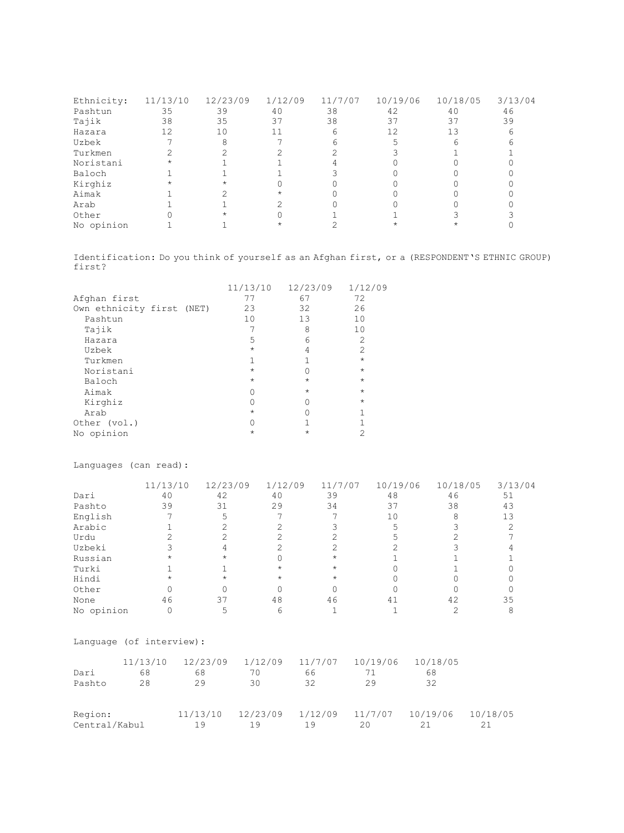| Ethnicity: | 11/13/10 | 12/23/09 | 1/12/09 | 11/7/07 | 10/19/06 | 10/18/05 | 3/13/04 |
|------------|----------|----------|---------|---------|----------|----------|---------|
| Pashtun    | 35       | 39       | 40      | 38      | 42       | 40       | 46      |
| Tajik      | 38       | 35       | 37      | 38      | 37       | 37       | 39      |
| Hazara     | 12       | 10       | 11      |         |          |          | h       |
| Uzbek      |          |          |         |         |          |          |         |
| Turkmen    |          |          |         |         |          |          |         |
| Noristani  |          |          |         |         |          |          |         |
| Baloch     |          |          |         |         |          |          |         |
| Kirghiz    |          |          |         |         |          |          |         |
| Aimak      |          |          |         |         |          |          |         |
| Arab       |          |          |         |         |          |          |         |
| Other      |          |          |         |         |          |          |         |
| No opinion |          |          |         |         |          |          |         |

Identification: Do you think of yourself as an Afghan first, or a (RESPONDENT'S ETHNIC GROUP) first?

|                           | 11/13/10   | 12/23/09   | 1/12/09        |
|---------------------------|------------|------------|----------------|
| Afghan first              | 77         | 67         | 72             |
| Own ethnicity first (NET) | 23         | 32         | 26             |
| Pashtun                   | 10         | 13         | 10             |
| Tajik                     |            | 8          | 10             |
| Hazara                    | 5          | 6          | 2              |
| Uzbek                     | $\star$    | 4          | $\overline{2}$ |
| Turkmen                   |            |            | $\star$        |
| Noristani                 | $\star$    |            | $\star$        |
| Baloch                    | $\star$    | $\star$    | $\star$        |
| Aimak                     |            | $\star$    | $\star$        |
| Kirghiz                   |            |            | $\star$        |
| Arab                      | $\star$    |            |                |
| Other (vol.)              |            |            |                |
| No opinion                | $^{\star}$ | $^{\star}$ |                |

Languages (can read):

|            | 11/13/10 | 12/23/09 | 1/12/09    | 11/7/07 | 10/19/06 | 10/18/05 | 3/13/04 |
|------------|----------|----------|------------|---------|----------|----------|---------|
| Dari       | 40       | 42       | 40         | 39      | 48       | 46       | 51      |
| Pashto     | 39       | 31       | 29         | 34      | 37       | 38       | 43      |
| English    |          |          |            |         | 10       |          | 13      |
| Arabic     |          |          |            |         |          |          |         |
| Urdu       |          |          |            |         |          |          |         |
| Uzbeki     |          |          |            |         |          |          |         |
| Russian    |          |          |            |         |          |          |         |
| Turki      |          |          | *          |         |          |          |         |
| Hindi      |          |          | $^{\star}$ |         |          |          |         |
| Other      |          |          |            |         |          |          |         |
| None       | 46       | 37       | 48         | 46      | 41       | 42       | 35      |
| No opinion |          |          |            |         |          |          |         |

Language (of interview):

| Dari<br>Pashto           | 11/13/10<br>68<br>28 | 12/23/09<br>68<br>29 | 1/12/09<br>70<br>30 | 11/7/07<br>66<br>32 | 10/19/06<br>29 | 10/18/05<br>68<br>32 |          |
|--------------------------|----------------------|----------------------|---------------------|---------------------|----------------|----------------------|----------|
| Region:<br>Central/Kabul |                      | 11/13/10<br>19       | 12/23/09<br>19      | 1/12/09<br>19       | 11/7/07<br>20  | 10/19/06             | 10/18/05 |